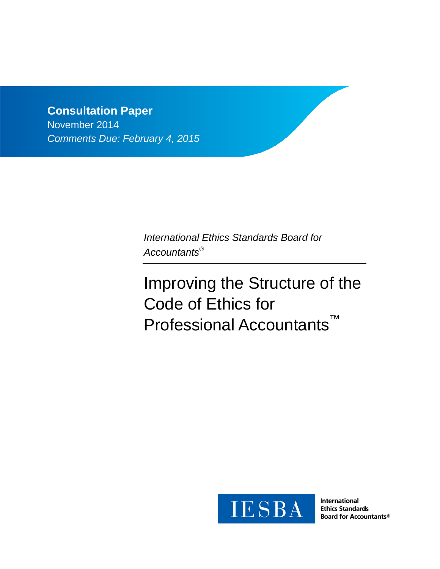# **Consultation Paper**

November 2014 *Comments Due: February 4, 2015*

> *International Ethics Standards Board for Accountants®*

Improving the Structure of the Code of Ethics for Professional Accountants<sup>™</sup>



**International Ethics Standards Board for Accountants®**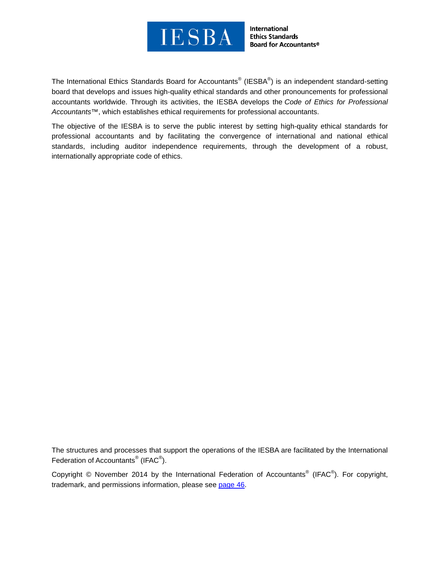

**International Ethics Standards Board for Accountants®** 

The [International Ethics Standards Board for Accountants](http://www.ifac.org/ethics)® (IESBA®) is an independent standard-setting board that develops and issues high-quality ethical standards and other pronouncements for professional accountants worldwide. Through its activities, the IESBA develops the *Code of Ethics for Professional Accountants™*, which establishes ethical requirements for professional accountants.

The objective of the IESBA is to serve the public interest by setting high-quality ethical standards for professional accountants and by facilitating the convergence of international and national ethical standards, including auditor independence requirements, through the development of a robust, internationally appropriate code of ethics.

The structures and processes that support the operations of the IESBA are facilitated by the International Federation of Accountants<sup>®</sup> (IFAC<sup>®</sup>).

Copyright © November 2014 by the International Federation of Accountants<sup>®</sup> (IFAC<sup>®</sup>). For copyright, trademark, and permissions information, please see [page](#page-45-0) 46.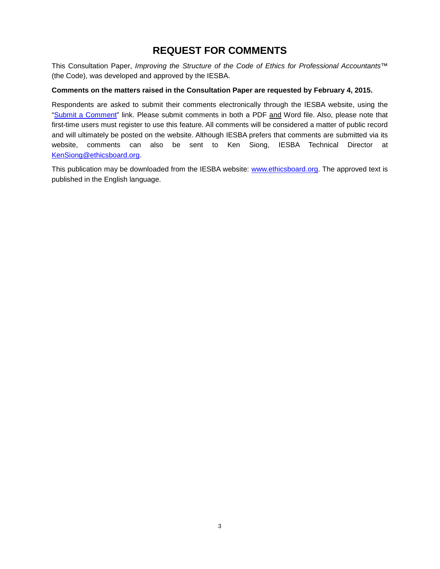# **REQUEST FOR COMMENTS**

This Consultation Paper, *Improving the Structure of the Code of Ethics for Professional Accountants™* (the Code), was developed and approved by the IESBA.

### **Comments on the matters raised in the Consultation Paper are requested by February 4, 2015.**

Respondents are asked to submit their comments electronically through the IESBA website, using the ["Submit a Comment"](http://www.ifac.org/publications-resources/improving-structure-code-ethics-professional-accountants) link. Please submit comments in both a PDF and Word file. Also, please note that first-time users must register to use this feature. All comments will be considered a matter of public record and will ultimately be posted on the website. Although IESBA prefers that comments are submitted via its website, comments can also be sent to Ken Siong, IESBA Technical Director at [KenSiong@ethicsboard.org.](mailto:KenSiong@ethicsboard.org)

This publication may be downloaded from the IESBA website: [www.ethicsboard.org.](http://www.ethicsboard.org/) The approved text is published in the English language.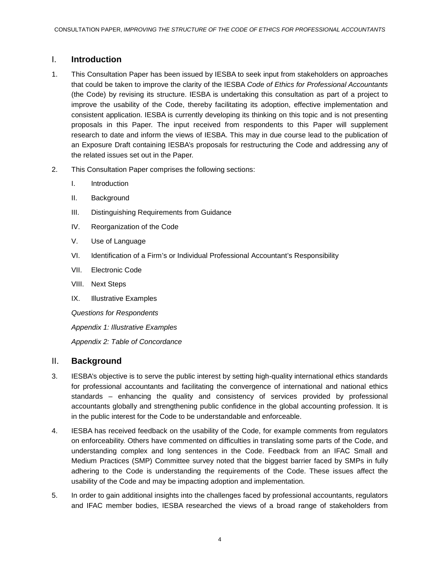# I. **Introduction**

- 1. This Consultation Paper has been issued by IESBA to seek input from stakeholders on approaches that could be taken to improve the clarity of the IESBA *Code of Ethics for Professional Accountants* (the Code) by revising its structure. IESBA is undertaking this consultation as part of a project to improve the usability of the Code, thereby facilitating its adoption, effective implementation and consistent application. IESBA is currently developing its thinking on this topic and is not presenting proposals in this Paper. The input received from respondents to this Paper will supplement research to date and inform the views of IESBA. This may in due course lead to the publication of an Exposure Draft containing IESBA's proposals for restructuring the Code and addressing any of the related issues set out in the Paper.
- 2. This Consultation Paper comprises the following sections:
	- I. Introduction
	- II. Background
	- III. Distinguishing Requirements from Guidance
	- IV. Reorganization of the Code
	- V. Use of Language
	- VI. Identification of a Firm's or Individual Professional Accountant's Responsibility
	- VII. Electronic Code
	- VIII. Next Steps
	- IX. Illustrative Examples

*Questions for Respondents*

*Appendix 1: Illustrative Examples*

*Appendix 2: Table of Concordance*

# II. **Background**

- 3. IESBA's objective is to serve the public interest by setting high-quality international ethics standards for professional accountants and facilitating the convergence of international and national ethics standards – enhancing the quality and consistency of services provided by professional accountants globally and strengthening public confidence in the global accounting profession. It is in the public interest for the Code to be understandable and enforceable.
- 4. IESBA has received feedback on the usability of the Code, for example comments from regulators on enforceability. Others have commented on difficulties in translating some parts of the Code, and understanding complex and long sentences in the Code. Feedback from an IFAC Small and Medium Practices (SMP) Committee survey noted that the biggest barrier faced by SMPs in fully adhering to the Code is understanding the requirements of the Code. These issues affect the usability of the Code and may be impacting adoption and implementation.
- 5. In order to gain additional insights into the challenges faced by professional accountants, regulators and IFAC member bodies, IESBA researched the views of a broad range of stakeholders from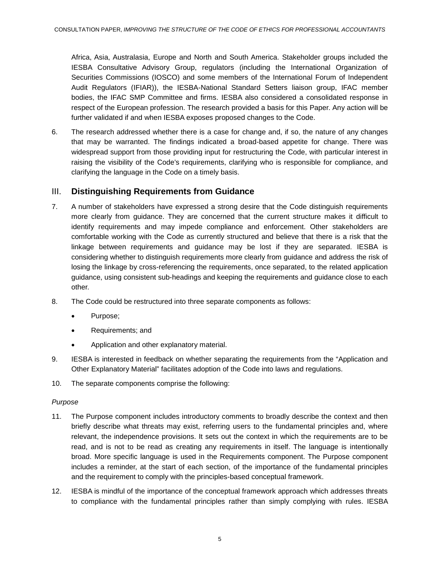Africa, Asia, Australasia, Europe and North and South America. Stakeholder groups included the IESBA Consultative Advisory Group, regulators (including the International Organization of Securities Commissions (IOSCO) and some members of the International Forum of Independent Audit Regulators (IFIAR)), the IESBA-National Standard Setters liaison group, IFAC member bodies, the IFAC SMP Committee and firms. IESBA also considered a consolidated response in respect of the European profession. The research provided a basis for this Paper. Any action will be further validated if and when IESBA exposes proposed changes to the Code.

6. The research addressed whether there is a case for change and, if so, the nature of any changes that may be warranted. The findings indicated a broad-based appetite for change. There was widespread support from those providing input for restructuring the Code, with particular interest in raising the visibility of the Code's requirements, clarifying who is responsible for compliance, and clarifying the language in the Code on a timely basis.

# III. **Distinguishing Requirements from Guidance**

- 7. A number of stakeholders have expressed a strong desire that the Code distinguish requirements more clearly from guidance. They are concerned that the current structure makes it difficult to identify requirements and may impede compliance and enforcement. Other stakeholders are comfortable working with the Code as currently structured and believe that there is a risk that the linkage between requirements and guidance may be lost if they are separated. IESBA is considering whether to distinguish requirements more clearly from guidance and address the risk of losing the linkage by cross-referencing the requirements, once separated, to the related application guidance, using consistent sub-headings and keeping the requirements and guidance close to each other.
- 8. The Code could be restructured into three separate components as follows:
	- Purpose;
	- Requirements; and
	- Application and other explanatory material.
- 9. IESBA is interested in feedback on whether separating the requirements from the "Application and Other Explanatory Material" facilitates adoption of the Code into laws and regulations.
- 10. The separate components comprise the following:

## *Purpose*

- 11. The Purpose component includes introductory comments to broadly describe the context and then briefly describe what threats may exist, referring users to the fundamental principles and, where relevant, the independence provisions. It sets out the context in which the requirements are to be read, and is not to be read as creating any requirements in itself. The language is intentionally broad. More specific language is used in the Requirements component. The Purpose component includes a reminder, at the start of each section, of the importance of the fundamental principles and the requirement to comply with the principles-based conceptual framework.
- 12. IESBA is mindful of the importance of the conceptual framework approach which addresses threats to compliance with the fundamental principles rather than simply complying with rules. IESBA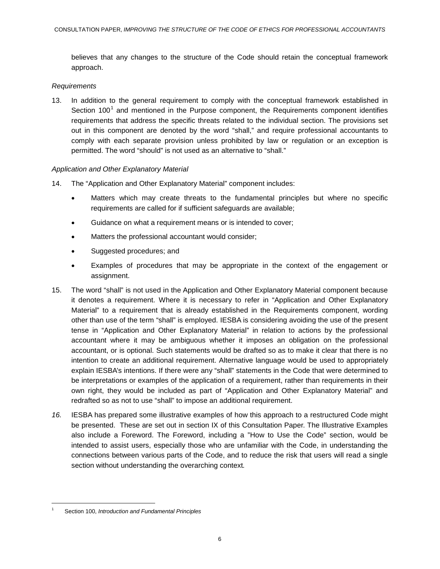believes that any changes to the structure of the Code should retain the conceptual framework approach.

### *Requirements*

13. In addition to the general requirement to comply with the conceptual framework established in Section  $100<sup>1</sup>$  $100<sup>1</sup>$  and mentioned in the Purpose component, the Requirements component identifies requirements that address the specific threats related to the individual section. The provisions set out in this component are denoted by the word "shall," and require professional accountants to comply with each separate provision unless prohibited by law or regulation or an exception is permitted. The word "should" is not used as an alternative to "shall."

### *Application and Other Explanatory Material*

- 14. The "Application and Other Explanatory Material" component includes:
	- Matters which may create threats to the fundamental principles but where no specific requirements are called for if sufficient safeguards are available;
	- Guidance on what a requirement means or is intended to cover;
	- Matters the professional accountant would consider;
	- Suggested procedures; and
	- Examples of procedures that may be appropriate in the context of the engagement or assignment.
- 15. The word "shall" is not used in the Application and Other Explanatory Material component because it denotes a requirement. Where it is necessary to refer in "Application and Other Explanatory Material" to a requirement that is already established in the Requirements component, wording other than use of the term "shall" is employed. IESBA is considering avoiding the use of the present tense in "Application and Other Explanatory Material" in relation to actions by the professional accountant where it may be ambiguous whether it imposes an obligation on the professional accountant, or is optional. Such statements would be drafted so as to make it clear that there is no intention to create an additional requirement. Alternative language would be used to appropriately explain IESBA's intentions. If there were any "shall" statements in the Code that were determined to be interpretations or examples of the application of a requirement, rather than requirements in their own right, they would be included as part of "Application and Other Explanatory Material" and redrafted so as not to use "shall" to impose an additional requirement.
- *16.* IESBA has prepared some illustrative examples of how this approach to a restructured Code might be presented. These are set out in section IX of this Consultation Paper. The Illustrative Examples also include a Foreword. The Foreword, including a "How to Use the Code" section, would be intended to assist users, especially those who are unfamiliar with the Code, in understanding the connections between various parts of the Code, and to reduce the risk that users will read a single section without understanding the overarching context*.*

 $\overline{a}$ 

<span id="page-5-0"></span><sup>1</sup> Section 100, *Introduction and Fundamental Principles*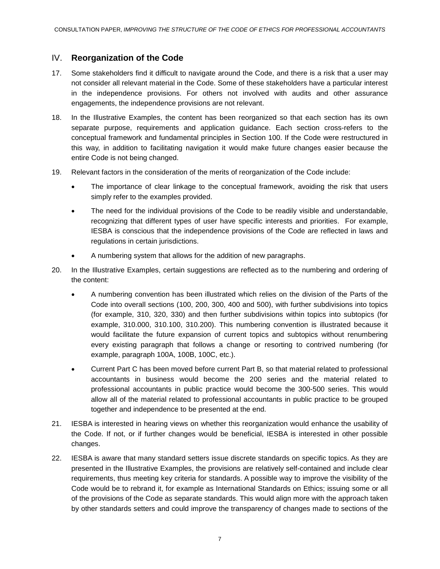# IV. **Reorganization of the Code**

- 17. Some stakeholders find it difficult to navigate around the Code, and there is a risk that a user may not consider all relevant material in the Code. Some of these stakeholders have a particular interest in the independence provisions. For others not involved with audits and other assurance engagements, the independence provisions are not relevant.
- 18. In the Illustrative Examples, the content has been reorganized so that each section has its own separate purpose, requirements and application guidance. Each section cross-refers to the conceptual framework and fundamental principles in Section 100. If the Code were restructured in this way, in addition to facilitating navigation it would make future changes easier because the entire Code is not being changed.
- 19. Relevant factors in the consideration of the merits of reorganization of the Code include:
	- The importance of clear linkage to the conceptual framework, avoiding the risk that users simply refer to the examples provided.
	- The need for the individual provisions of the Code to be readily visible and understandable, recognizing that different types of user have specific interests and priorities. For example, IESBA is conscious that the independence provisions of the Code are reflected in laws and regulations in certain jurisdictions.
	- A numbering system that allows for the addition of new paragraphs.
- 20. In the Illustrative Examples, certain suggestions are reflected as to the numbering and ordering of the content:
	- A numbering convention has been illustrated which relies on the division of the Parts of the Code into overall sections (100, 200, 300, 400 and 500), with further subdivisions into topics (for example, 310, 320, 330) and then further subdivisions within topics into subtopics (for example, 310.000, 310.100, 310.200). This numbering convention is illustrated because it would facilitate the future expansion of current topics and subtopics without renumbering every existing paragraph that follows a change or resorting to contrived numbering (for example, paragraph 100A, 100B, 100C, etc.).
	- Current Part C has been moved before current Part B, so that material related to professional accountants in business would become the 200 series and the material related to professional accountants in public practice would become the 300-500 series. This would allow all of the material related to professional accountants in public practice to be grouped together and independence to be presented at the end.
- 21. IESBA is interested in hearing views on whether this reorganization would enhance the usability of the Code. If not, or if further changes would be beneficial, IESBA is interested in other possible changes.
- 22. IESBA is aware that many standard setters issue discrete standards on specific topics. As they are presented in the Illustrative Examples, the provisions are relatively self-contained and include clear requirements, thus meeting key criteria for standards. A possible way to improve the visibility of the Code would be to rebrand it, for example as International Standards on Ethics; issuing some or all of the provisions of the Code as separate standards. This would align more with the approach taken by other standards setters and could improve the transparency of changes made to sections of the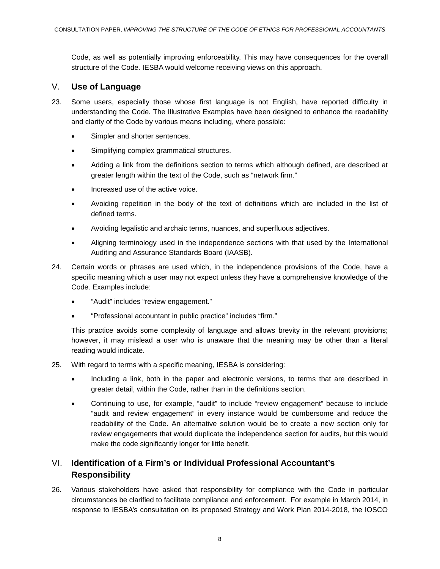Code, as well as potentially improving enforceability. This may have consequences for the overall structure of the Code. IESBA would welcome receiving views on this approach.

# V. **Use of Language**

- 23. Some users, especially those whose first language is not English, have reported difficulty in understanding the Code. The Illustrative Examples have been designed to enhance the readability and clarity of the Code by various means including, where possible:
	- Simpler and shorter sentences.
	- Simplifying complex grammatical structures.
	- Adding a link from the definitions section to terms which although defined, are described at greater length within the text of the Code, such as "network firm."
	- Increased use of the active voice.
	- Avoiding repetition in the body of the text of definitions which are included in the list of defined terms.
	- Avoiding legalistic and archaic terms, nuances, and superfluous adjectives.
	- Aligning terminology used in the independence sections with that used by the International Auditing and Assurance Standards Board (IAASB).
- 24. Certain words or phrases are used which, in the independence provisions of the Code, have a specific meaning which a user may not expect unless they have a comprehensive knowledge of the Code. Examples include:
	- "Audit" includes "review engagement."
	- "Professional accountant in public practice" includes "firm."

This practice avoids some complexity of language and allows brevity in the relevant provisions; however, it may mislead a user who is unaware that the meaning may be other than a literal reading would indicate.

- 25. With regard to terms with a specific meaning, IESBA is considering:
	- Including a link, both in the paper and electronic versions, to terms that are described in greater detail, within the Code, rather than in the definitions section.
	- Continuing to use, for example, "audit" to include "review engagement" because to include "audit and review engagement" in every instance would be cumbersome and reduce the readability of the Code. An alternative solution would be to create a new section only for review engagements that would duplicate the independence section for audits, but this would make the code significantly longer for little benefit.

# VI. **Identification of a Firm's or Individual Professional Accountant's Responsibility**

26. Various stakeholders have asked that responsibility for compliance with the Code in particular circumstances be clarified to facilitate compliance and enforcement. For example in March 2014, in response to IESBA's consultation on its proposed Strategy and Work Plan 2014-2018, the IOSCO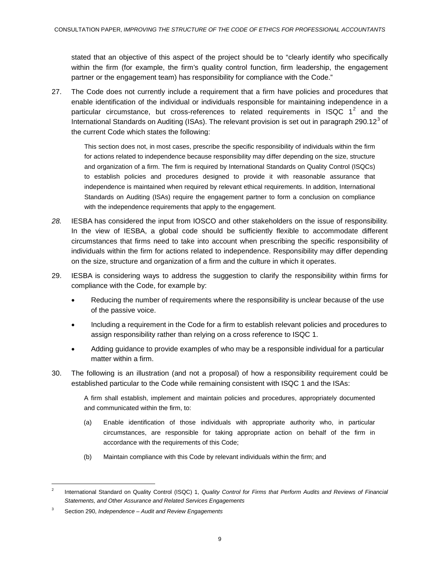stated that an objective of this aspect of the project should be to "clearly identify who specifically within the firm (for example, the firm's quality control function, firm leadership, the engagement partner or the engagement team) has responsibility for compliance with the Code."

27. The Code does not currently include a requirement that a firm have policies and procedures that enable identification of the individual or individuals responsible for maintaining independence in a particular circumstance, but cross-references to related requirements in ISQC  $1^2$  $1^2$  and the International Standards on Auditing (ISAs). The relevant provision is set out in paragraph 290.12 $^3$  $^3$  of the current Code which states the following:

This section does not, in most cases, prescribe the specific responsibility of individuals within the firm for actions related to independence because responsibility may differ depending on the size, structure and organization of a firm. The firm is required by International Standards on Quality Control (ISQCs) to establish policies and procedures designed to provide it with reasonable assurance that independence is maintained when required by relevant ethical requirements. In addition, International Standards on Auditing (ISAs) require the engagement partner to form a conclusion on compliance with the independence requirements that apply to the engagement.

- *28.* IESBA has considered the input from IOSCO and other stakeholders on the issue of responsibility. In the view of IESBA, a global code should be sufficiently flexible to accommodate different circumstances that firms need to take into account when prescribing the specific responsibility of individuals within the firm for actions related to independence. Responsibility may differ depending on the size, structure and organization of a firm and the culture in which it operates.
- 29. IESBA is considering ways to address the suggestion to clarify the responsibility within firms for compliance with the Code, for example by:
	- Reducing the number of requirements where the responsibility is unclear because of the use of the passive voice.
	- Including a requirement in the Code for a firm to establish relevant policies and procedures to assign responsibility rather than relying on a cross reference to ISQC 1.
	- Adding guidance to provide examples of who may be a responsible individual for a particular matter within a firm.
- 30. The following is an illustration (and not a proposal) of how a responsibility requirement could be established particular to the Code while remaining consistent with ISQC 1 and the ISAs:

A firm shall establish, implement and maintain policies and procedures, appropriately documented and communicated within the firm, to:

- (a) Enable identification of those individuals with appropriate authority who, in particular circumstances, are responsible for taking appropriate action on behalf of the firm in accordance with the requirements of this Code;
- (b) Maintain compliance with this Code by relevant individuals within the firm; and

 $\overline{a}$ 

<span id="page-8-0"></span><sup>2</sup> International Standard on Quality Control (ISQC) 1, *Quality Control for Firms that Perform Audits and Reviews of Financial Statements, and Other Assurance and Related Services Engagements*

<span id="page-8-1"></span><sup>3</sup> Section 290, *Independence – Audit and Review Engagements*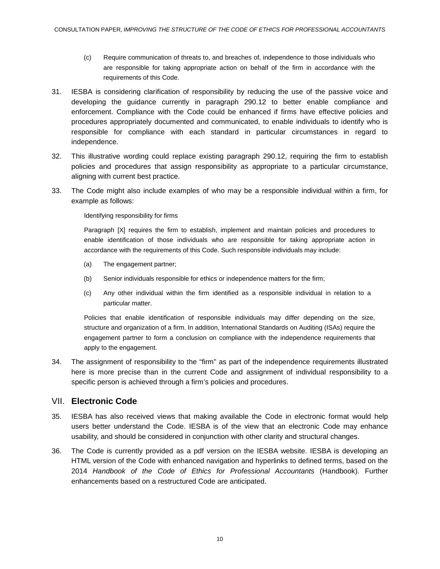- (c) Require communication of threats to, and breaches of, independence to those individuals who are responsible for taking appropriate action on behalf of the firm in accordance with the requirements of this Code.
- 31. IESBA is considering clarification of responsibility by reducing the use of the passive voice and developing the guidance currently in paragraph 290.12 to better enable compliance and enforcement. Compliance with the Code could be enhanced if firms have effective policies and procedures appropriately documented and communicated, to enable individuals to identify who is responsible for compliance with each standard in particular circumstances in regard to independence.
- 32. This illustrative wording could replace existing paragraph 290.12, requiring the firm to establish policies and procedures that assign responsibility as appropriate to a particular circumstance, aligning with current best practice.
- 33. The Code might also include examples of who may be a responsible individual within a firm, for example as follows:

Identifying responsibility for firms

Paragraph [X] requires the firm to establish, implement and maintain policies and procedures to enable identification of those individuals who are responsible for taking appropriate action in accordance with the requirements of this Code. Such responsible individuals may include:

- (a) The engagement partner;
- (b) Senior individuals responsible for ethics or independence matters for the firm;
- (c) Any other individual within the firm identified as a responsible individual in relation to a particular matter.

Policies that enable identification of responsible individuals may differ depending on the size, structure and organization of a firm. In addition, International Standards on Auditing (ISAs) require the engagement partner to form a conclusion on compliance with the independence requirements that apply to the engagement.

34. The assignment of responsibility to the "firm" as part of the independence requirements illustrated here is more precise than in the current Code and assignment of individual responsibility to a specific person is achieved through a firm's policies and procedures.

# VII. **Electronic Code**

- 35. IESBA has also received views that making available the Code in electronic format would help users better understand the Code. IESBA is of the view that an electronic Code may enhance usability, and should be considered in conjunction with other clarity and structural changes.
- 36. The Code is currently provided as a pdf version on the IESBA website. IESBA is developing an HTML version of the Code with enhanced navigation and hyperlinks to defined terms, based on the 2014 *Handbook of the Code of Ethics for Professional Accountants* (Handbook). Further enhancements based on a restructured Code are anticipated.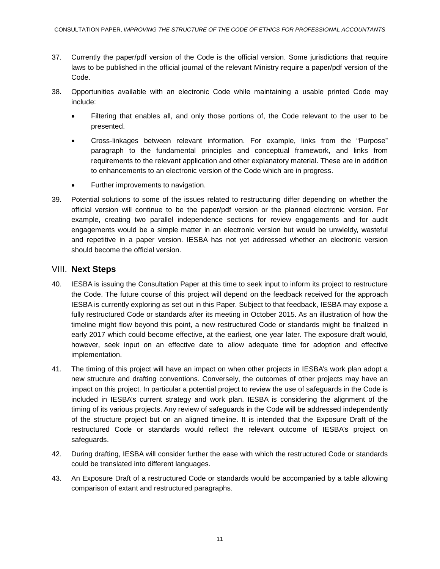- 37. Currently the paper/pdf version of the Code is the official version. Some jurisdictions that require laws to be published in the official journal of the relevant Ministry require a paper/pdf version of the Code.
- 38. Opportunities available with an electronic Code while maintaining a usable printed Code may include:
	- Filtering that enables all, and only those portions of, the Code relevant to the user to be presented.
	- Cross-linkages between relevant information. For example, links from the "Purpose" paragraph to the fundamental principles and conceptual framework, and links from requirements to the relevant application and other explanatory material. These are in addition to enhancements to an electronic version of the Code which are in progress.
	- Further improvements to navigation.
- 39. Potential solutions to some of the issues related to restructuring differ depending on whether the official version will continue to be the paper/pdf version or the planned electronic version. For example, creating two parallel independence sections for review engagements and for audit engagements would be a simple matter in an electronic version but would be unwieldy, wasteful and repetitive in a paper version. IESBA has not yet addressed whether an electronic version should become the official version.

# VIII. **Next Steps**

- 40. IESBA is issuing the Consultation Paper at this time to seek input to inform its project to restructure the Code. The future course of this project will depend on the feedback received for the approach IESBA is currently exploring as set out in this Paper. Subject to that feedback, IESBA may expose a fully restructured Code or standards after its meeting in October 2015. As an illustration of how the timeline might flow beyond this point, a new restructured Code or standards might be finalized in early 2017 which could become effective, at the earliest, one year later. The exposure draft would, however, seek input on an effective date to allow adequate time for adoption and effective implementation.
- 41. The timing of this project will have an impact on when other projects in IESBA's work plan adopt a new structure and drafting conventions. Conversely, the outcomes of other projects may have an impact on this project. In particular a potential project to review the use of safeguards in the Code is included in IESBA's current strategy and work plan. IESBA is considering the alignment of the timing of its various projects. Any review of safeguards in the Code will be addressed independently of the structure project but on an aligned timeline. It is intended that the Exposure Draft of the restructured Code or standards would reflect the relevant outcome of IESBA's project on safeguards.
- 42. During drafting, IESBA will consider further the ease with which the restructured Code or standards could be translated into different languages.
- 43. An Exposure Draft of a restructured Code or standards would be accompanied by a table allowing comparison of extant and restructured paragraphs.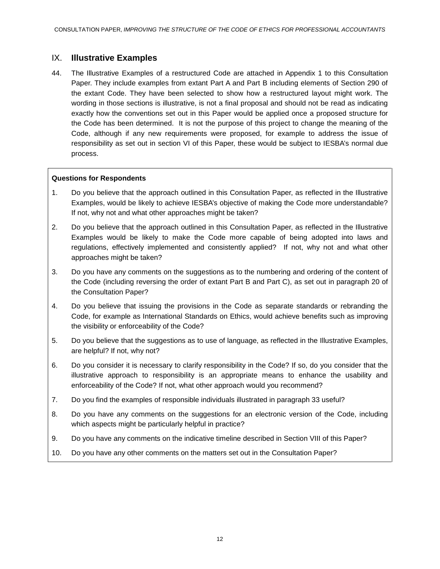# IX. **Illustrative Examples**

44. The Illustrative Examples of a restructured Code are attached in Appendix 1 to this Consultation Paper. They include examples from extant Part A and Part B including elements of Section 290 of the extant Code. They have been selected to show how a restructured layout might work. The wording in those sections is illustrative, is not a final proposal and should not be read as indicating exactly how the conventions set out in this Paper would be applied once a proposed structure for the Code has been determined. It is not the purpose of this project to change the meaning of the Code, although if any new requirements were proposed, for example to address the issue of responsibility as set out in section VI of this Paper, these would be subject to IESBA's normal due process.

### **Questions for Respondents**

- 1. Do you believe that the approach outlined in this Consultation Paper, as reflected in the Illustrative Examples, would be likely to achieve IESBA's objective of making the Code more understandable? If not, why not and what other approaches might be taken?
- 2. Do you believe that the approach outlined in this Consultation Paper, as reflected in the Illustrative Examples would be likely to make the Code more capable of being adopted into laws and regulations, effectively implemented and consistently applied? If not, why not and what other approaches might be taken?
- 3. Do you have any comments on the suggestions as to the numbering and ordering of the content of the Code (including reversing the order of extant Part B and Part C), as set out in paragraph 20 of the Consultation Paper?
- 4. Do you believe that issuing the provisions in the Code as separate standards or rebranding the Code, for example as International Standards on Ethics, would achieve benefits such as improving the visibility or enforceability of the Code?
- 5. Do you believe that the suggestions as to use of language, as reflected in the Illustrative Examples, are helpful? If not, why not?
- 6. Do you consider it is necessary to clarify responsibility in the Code? If so, do you consider that the illustrative approach to responsibility is an appropriate means to enhance the usability and enforceability of the Code? If not, what other approach would you recommend?
- 7. Do you find the examples of responsible individuals illustrated in paragraph 33 useful?
- 8. Do you have any comments on the suggestions for an electronic version of the Code, including which aspects might be particularly helpful in practice?
- 9. Do you have any comments on the indicative timeline described in Section VIII of this Paper?
- 10. Do you have any other comments on the matters set out in the Consultation Paper?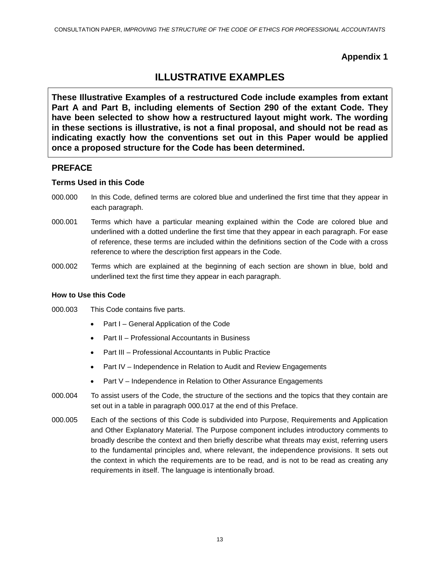# **Appendix 1**

# **ILLUSTRATIVE EXAMPLES**

**These Illustrative Examples of a restructured Code include examples from extant Part A and Part B, including elements of Section 290 of the extant Code. They have been selected to show how a restructured layout might work. The wording in these sections is illustrative, is not a final proposal, and should not be read as indicating exactly how the conventions set out in this Paper would be applied once a proposed structure for the Code has been determined.**

# **PREFACE**

## **Terms Used in this Code**

- 000.000 In this Code, defined terms are colored blue and underlined the first time that they appear in each paragraph.
- 000.001 Terms which have a particular meaning explained within the Code are colored blue and underlined with a dotted underline the first time that they appear in each paragraph. For ease of reference, these terms are included within the definitions section of the Code with a cross reference to where the description first appears in the Code.
- 000.002 Terms which are explained at the beginning of each section are shown in blue, bold and underlined text the first time they appear in each paragraph.

## **How to Use this Code**

- 000.003 This Code contains five parts.
	- Part I General Application of the Code
	- Part II Professional Accountants in Business
	- Part III Professional Accountants in Public Practice
	- Part IV Independence in Relation to Audit and Review Engagements
	- Part V Independence in Relation to Other Assurance Engagements
- 000.004 To assist users of the Code, the structure of the sections and the topics that they contain are set out in a table in paragraph 000.017 at the end of this Preface.
- 000.005 Each of the sections of this Code is subdivided into Purpose, Requirements and Application and Other Explanatory Material. The Purpose component includes introductory comments to broadly describe the context and then briefly describe what threats may exist, referring users to the fundamental principles and, where relevant, the independence provisions. It sets out the context in which the requirements are to be read, and is not to be read as creating any requirements in itself. The language is intentionally broad.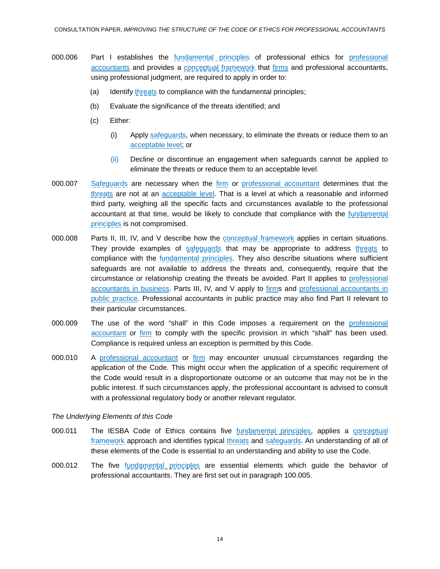- 000.006 Part I establishes the fundamental principles of professional ethics for professional accountants and provides a conceptual framework that firms and professional accountants, using professional judgment, are required to apply in order to:
	- (a) Identify threats to compliance with the fundamental principles;
	- (b) Evaluate the significance of the threats identified; and
	- (c) Either:
		- (i) Apply safeguards, when necessary, to eliminate the threats or reduce them to an acceptable level; or
		- (ii) Decline or discontinue an engagement when safeguards cannot be applied to eliminate the threats or reduce them to an acceptable level.
- 000.007 Safeguards are necessary when the firm or professional accountant determines that the threats are not at an acceptable level. That is a level at which a reasonable and informed third party, weighing all the specific facts and circumstances available to the professional accountant at that time, would be likely to conclude that compliance with the fundamental principles is not compromised.
- 000.008 Parts II, III, IV, and V describe how the conceptual framework applies in certain situations. They provide examples of safeguards that may be appropriate to address threats to compliance with the *fundamental principles*. They also describe situations where sufficient safeguards are not available to address the threats and, consequently, require that the circumstance or relationship creating the threats be avoided. Part II applies to professional accountants in business. Parts III, IV, and V apply to firms and professional accountants in public practice. Professional accountants in public practice may also find Part II relevant to their particular circumstances.
- 000.009 The use of the word "shall" in this Code imposes a requirement on the professional accountant or firm to comply with the specific provision in which "shall" has been used. Compliance is required unless an exception is permitted by this Code.
- 000.010 A professional accountant or firm may encounter unusual circumstances regarding the application of the Code. This might occur when the application of a specific requirement of the Code would result in a disproportionate outcome or an outcome that may not be in the public interest. If such circumstances apply, the professional accountant is advised to consult with a professional regulatory body or another relevant regulator.

### *The Underlying Elements of this Code*

- 000.011 The IESBA Code of Ethics contains five fundamental principles, applies a conceptual framework approach and identifies typical threats and safeguards. An understanding of all of these elements of the Code is essential to an understanding and ability to use the Code.
- 000.012 The five fundamental principles are essential elements which guide the behavior of professional accountants. They are first set out in paragraph 100.005.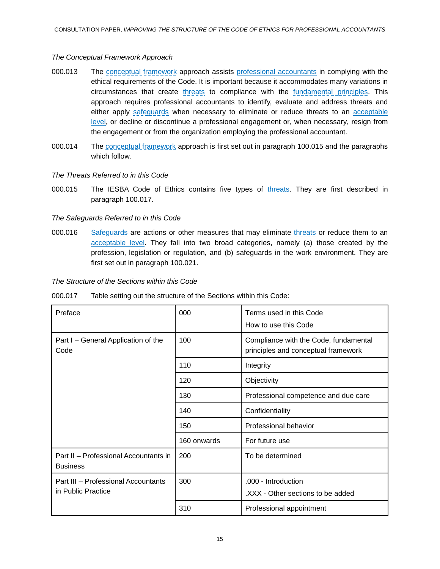### *The Conceptual Framework Approach*

- 000.013 The conceptual framework approach assists professional accountants in complying with the ethical requirements of the Code. It is important because it accommodates many variations in circumstances that create threats to compliance with the fundamental principles. This approach requires professional accountants to identify, evaluate and address threats and either apply safeguards when necessary to eliminate or reduce threats to an acceptable level, or decline or discontinue a professional engagement or, when necessary, resign from the engagement or from the organization employing the professional accountant.
- 000.014 The conceptual framework approach is first set out in paragraph 100.015 and the paragraphs which follow.

### *The Threats Referred to in this Code*

000.015 The IESBA Code of Ethics contains five types of threats. They are first described in paragraph 100.017.

### *The Safeguards Referred to in this Code*

000.016 Safeguards are actions or other measures that may eliminate threats or reduce them to an acceptable level. They fall into two broad categories, namely (a) those created by the profession, legislation or regulation, and (b) safeguards in the work environment. They are first set out in paragraph 100.021.

*The Structure of the Sections within this Code*

| 000.017 | Table setting out the structure of the Sections within this Code: |
|---------|-------------------------------------------------------------------|
|---------|-------------------------------------------------------------------|

| Preface                                                  | 000         | Terms used in this Code<br>How to use this Code                              |
|----------------------------------------------------------|-------------|------------------------------------------------------------------------------|
| Part I - General Application of the<br>Code              | 100         | Compliance with the Code, fundamental<br>principles and conceptual framework |
|                                                          | 110         | Integrity                                                                    |
|                                                          | 120         | Objectivity                                                                  |
|                                                          | 130         | Professional competence and due care                                         |
|                                                          | 140         | Confidentiality                                                              |
|                                                          | 150         | Professional behavior                                                        |
|                                                          | 160 onwards | For future use                                                               |
| Part II - Professional Accountants in<br><b>Business</b> | 200         | To be determined                                                             |
| Part III - Professional Accountants                      | 300         | .000 - Introduction                                                          |
| in Public Practice                                       |             | .XXX - Other sections to be added                                            |
|                                                          | 310         | Professional appointment                                                     |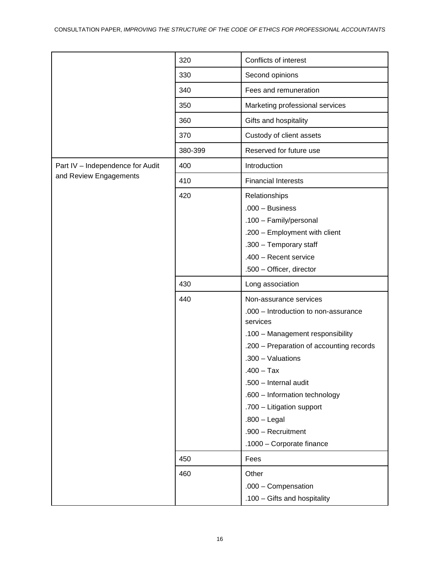|                                  | 320     | Conflicts of interest                            |
|----------------------------------|---------|--------------------------------------------------|
|                                  | 330     | Second opinions                                  |
|                                  | 340     | Fees and remuneration                            |
|                                  | 350     | Marketing professional services                  |
|                                  | 360     | Gifts and hospitality                            |
|                                  | 370     | Custody of client assets                         |
|                                  | 380-399 | Reserved for future use                          |
| Part IV - Independence for Audit | 400     | Introduction                                     |
| and Review Engagements           | 410     | <b>Financial Interests</b>                       |
|                                  | 420     | Relationships<br>$.000 - Business$               |
|                                  |         | .100 - Family/personal                           |
|                                  |         | .200 - Employment with client                    |
|                                  |         | .300 - Temporary staff                           |
|                                  |         | .400 - Recent service                            |
|                                  |         | .500 - Officer, director                         |
|                                  | 430     |                                                  |
|                                  |         | Long association                                 |
|                                  | 440     | Non-assurance services                           |
|                                  |         | .000 - Introduction to non-assurance<br>services |
|                                  |         | .100 - Management responsibility                 |
|                                  |         | .200 - Preparation of accounting records         |
|                                  |         | .300 - Valuations                                |
|                                  |         | $.400 - Tax$                                     |
|                                  |         | .500 - Internal audit                            |
|                                  |         | .600 - Information technology                    |
|                                  |         | .700 - Litigation support                        |
|                                  |         | $.800 - Legal$                                   |
|                                  |         | .900 - Recruitment                               |
|                                  |         | .1000 - Corporate finance                        |
|                                  | 450     | Fees                                             |
|                                  | 460     | Other                                            |
|                                  |         | .000 - Compensation                              |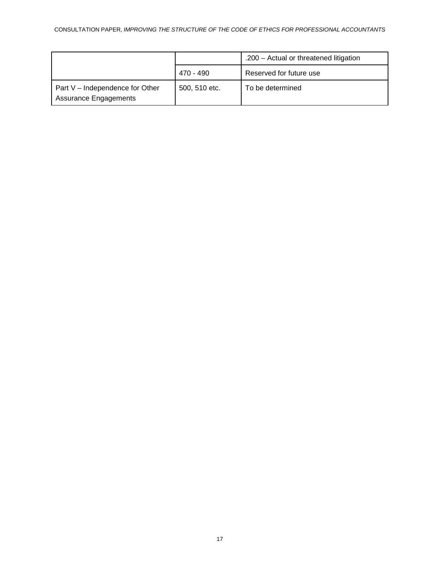|                                                          |               | .200 - Actual or threatened litigation |
|----------------------------------------------------------|---------------|----------------------------------------|
|                                                          | 470 - 490     | Reserved for future use                |
| Part V – Independence for Other<br>Assurance Engagements | 500, 510 etc. | To be determined                       |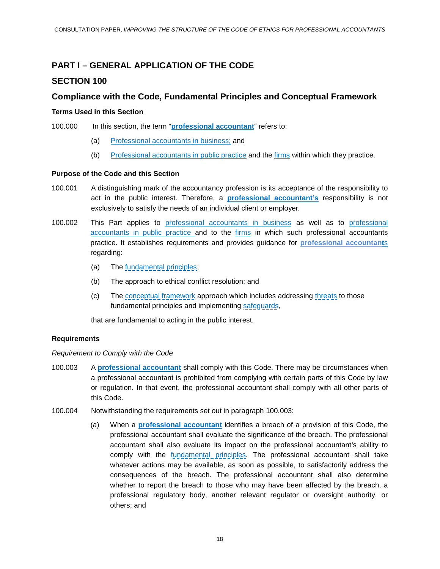# **PART I – GENERAL APPLICATION OF THE CODE**

# **SECTION 100**

# **Compliance with the Code, Fundamental Principles and Conceptual Framework**

### **Terms Used in this Section**

- 100.000 In this section, the term "**professional accountant**" refers to:
	- (a) Professional accountants in business; and
	- (b) Professional accountants in public practice and the firms within which they practice.

### **Purpose of the Code and this Section**

- 100.001 A distinguishing mark of the accountancy profession is its acceptance of the responsibility to act in the public interest. Therefore, a **professional accountant's** responsibility is not exclusively to satisfy the needs of an individual client or employer.
- 100.002 This Part applies to professional accountants in business as well as to professional accountants in public practice and to the firms in which such professional accountants practice. It establishes requirements and provides guidance for **professional accountant**s regarding:
	- (a) The fundamental principles;
	- (b) The approach to ethical conflict resolution; and
	- (c) The conceptual framework approach which includes addressing threats to those fundamental principles and implementing safeguards,

that are fundamental to acting in the public interest.

## **Requirements**

### *Requirement to Comply with the Code*

- 100.003 A **professional accountant** shall comply with this Code. There may be circumstances when a professional accountant is prohibited from complying with certain parts of this Code by law or regulation. In that event, the professional accountant shall comply with all other parts of this Code.
- 100.004 Notwithstanding the requirements set out in paragraph 100.003:
	- (a) When a **professional accountant** identifies a breach of a provision of this Code, the professional accountant shall evaluate the significance of the breach. The professional accountant shall also evaluate its impact on the professional accountant*'*s ability to comply with the fundamental principles. The professional accountant shall take whatever actions may be available, as soon as possible, to satisfactorily address the consequences of the breach. The professional accountant shall also determine whether to report the breach to those who may have been affected by the breach, a professional regulatory body, another relevant regulator or oversight authority, or others; and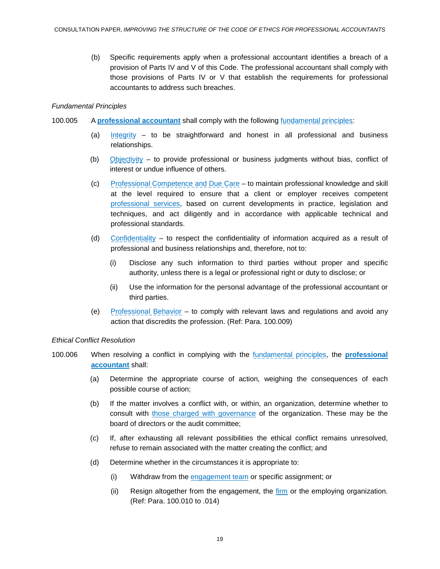(b) Specific requirements apply when a professional accountant identifies a breach of a provision of Parts IV and V of this Code. The professional accountant shall comply with those provisions of Parts IV or V that establish the requirements for professional accountants to address such breaches.

### *Fundamental Principles*

- 100.005 A **professional accountant** shall comply with the following fundamental principles:
	- (a) Integrity to be straightforward and honest in all professional and business relationships.
	- (b) Objectivity to provide professional or business judgments without bias, conflict of interest or undue influence of others.
	- (c) Professional Competence and Due Care to maintain professional knowledge and skill at the level required to ensure that a client or employer receives competent professional services, based on current developments in practice, legislation and techniques, and act diligently and in accordance with applicable technical and professional standards.
	- (d) Confidentiality to respect the confidentiality of information acquired as a result of professional and business relationships and, therefore, not to:
		- (i) Disclose any such information to third parties without proper and specific authority, unless there is a legal or professional right or duty to disclose; or
		- (ii) Use the information for the personal advantage of the professional accountant or third parties.
	- (e) Professional Behavior to comply with relevant laws and regulations and avoid any action that discredits the profession. (Ref: Para. 100.009)

### *Ethical Conflict Resolution*

- 100.006 When resolving a conflict in complying with the fundamental principles, the **professional accountant** shall:
	- (a) Determine the appropriate course of action, weighing the consequences of each possible course of action;
	- (b) If the matter involves a conflict with, or within, an organization, determine whether to consult with those charged with governance of the organization. These may be the board of directors or the audit committee;
	- (c) If, after exhausting all relevant possibilities the ethical conflict remains unresolved, refuse to remain associated with the matter creating the conflict; and
	- (d) Determine whether in the circumstances it is appropriate to:
		- (i) Withdraw from the engagement team or specific assignment; or
		- (ii) Resign altogether from the engagement, the firm or the employing organization. (Ref: Para. 100.010 to .014)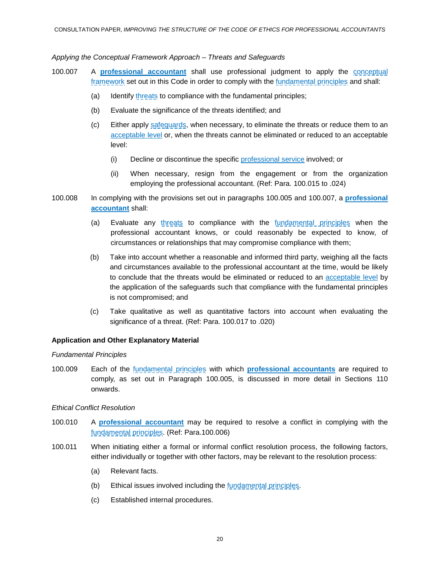### *Applying the Conceptual Framework Approach – Threats and Safeguards*

- 100.007 A **professional accountant** shall use professional judgment to apply the conceptual framework set out in this Code in order to comply with the fundamental principles and shall:
	- (a) Identify threats to compliance with the fundamental principles;
	- (b) Evaluate the significance of the threats identified; and
	- (c) Either apply safeguards, when necessary, to eliminate the threats or reduce them to an acceptable level or, when the threats cannot be eliminated or reduced to an acceptable level:
		- (i) Decline or discontinue the specific professional service involved; or
		- (ii) When necessary, resign from the engagement or from the organization employing the professional accountant. (Ref: Para. 100.015 to .024)
- 100.008 In complying with the provisions set out in paragraphs 100.005 and 100.007, a **professional accountant** shall:
	- (a) Evaluate any threats to compliance with the fundamental principles when the professional accountant knows, or could reasonably be expected to know, of circumstances or relationships that may compromise compliance with them;
	- (b) Take into account whether a reasonable and informed third party, weighing all the facts and circumstances available to the professional accountant at the time, would be likely to conclude that the threats would be eliminated or reduced to an acceptable level by the application of the safeguards such that compliance with the fundamental principles is not compromised; and
	- (c) Take qualitative as well as quantitative factors into account when evaluating the significance of a threat. (Ref: Para. 100.017 to .020)

## **Application and Other Explanatory Material**

### *Fundamental Principles*

100.009 Each of the fundamental principles with which **professional accountants** are required to comply, as set out in Paragraph 100.005, is discussed in more detail in Sections 110 onwards.

### *Ethical Conflict Resolution*

- 100.010 A **professional accountant** may be required to resolve a conflict in complying with the fundamental principles. (Ref: Para.100.006)
- 100.011 When initiating either a formal or informal conflict resolution process, the following factors, either individually or together with other factors, may be relevant to the resolution process:
	- (a) Relevant facts.
	- (b) Ethical issues involved including the fundamental principles.
	- (c) Established internal procedures.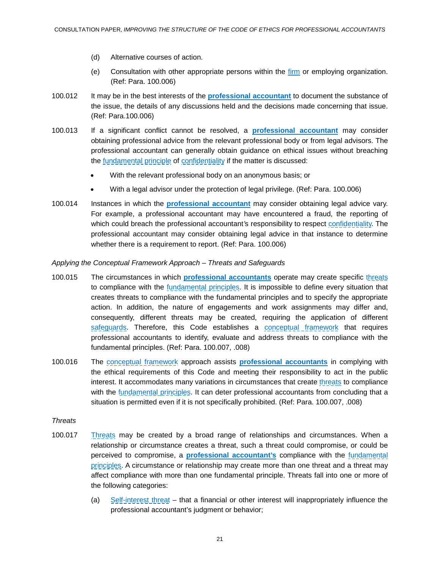- (d) Alternative courses of action.
- (e) Consultation with other appropriate persons within the firm or employing organization. (Ref: Para. 100.006)
- 100.012 It may be in the best interests of the **professional accountant** to document the substance of the issue, the details of any discussions held and the decisions made concerning that issue. (Ref: Para.100.006)
- 100.013 If a significant conflict cannot be resolved, a **professional accountant** may consider obtaining professional advice from the relevant professional body or from legal advisors. The professional accountant can generally obtain guidance on ethical issues without breaching the fundamental principle of confidentiality if the matter is discussed:
	- With the relevant professional body on an anonymous basis; or
	- With a legal advisor under the protection of legal privilege. (Ref: Para. 100.006)
- 100.014 Instances in which the **professional accountant** may consider obtaining legal advice vary. For example, a professional accountant may have encountered a fraud, the reporting of which could breach the professional accountant*'*s responsibility to respect confidentiality. The professional accountant may consider obtaining legal advice in that instance to determine whether there is a requirement to report. (Ref: Para. 100.006)

### *Applying the Conceptual Framework Approach – Threats and Safeguards*

- 100.015 The circumstances in which **professional accountants** operate may create specific threats to compliance with the fundamental principles. It is impossible to define every situation that creates threats to compliance with the fundamental principles and to specify the appropriate action. In addition, the nature of engagements and work assignments may differ and, consequently, different threats may be created, requiring the application of different safeguards. Therefore, this Code establishes a conceptual framework that requires professional accountants to identify, evaluate and address threats to compliance with the fundamental principles. (Ref: Para. 100.007, .008)
- 100.016 The conceptual framework approach assists **professional accountants** in complying with the ethical requirements of this Code and meeting their responsibility to act in the public interest. It accommodates many variations in circumstances that create threats to compliance with the fundamental principles. It can deter professional accountants from concluding that a situation is permitted even if it is not specifically prohibited. (Ref: Para. 100.007, .008)

### *Threats*

- 100.017 Threats may be created by a broad range of relationships and circumstances. When a relationship or circumstance creates a threat, such a threat could compromise, or could be perceived to compromise, a **professional accountant's** compliance with the fundamental principles. A circumstance or relationship may create more than one threat and a threat may affect compliance with more than one fundamental principle. Threats fall into one or more of the following categories:
	- (a) Self-interest threat that a financial or other interest will inappropriately influence the professional accountant's judgment or behavior;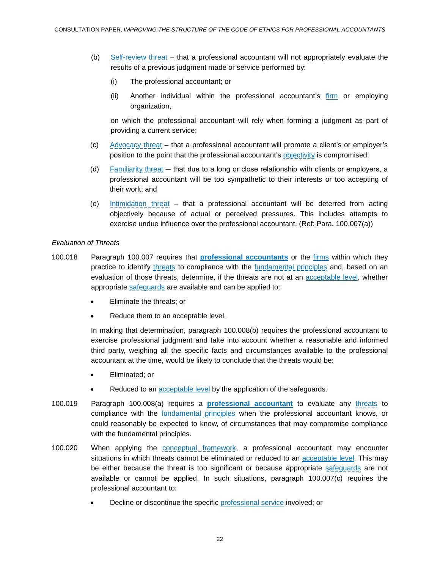- (b) Self-review threat that a professional accountant will not appropriately evaluate the results of a previous judgment made or service performed by:
	- (i) The professional accountant; or
	- (ii) Another individual within the professional accountant's firm or employing organization,

on which the professional accountant will rely when forming a judgment as part of providing a current service;

- (c) Advocacy threat that a professional accountant will promote a client's or employer's position to the point that the professional accountant's objectivity is compromised;
- (d) Familiarity threat  $-$  that due to a long or close relationship with clients or employers, a professional accountant will be too sympathetic to their interests or too accepting of their work; and
- (e) Intimidation threat that a professional accountant will be deterred from acting objectively because of actual or perceived pressures. This includes attempts to exercise undue influence over the professional accountant. (Ref: Para. 100.007(a))

### *Evaluation of Threats*

- 100.018 Paragraph 100.007 requires that **professional accountants** or the firms within which they practice to identify threats to compliance with the fundamental principles and, based on an evaluation of those threats, determine, if the threats are not at an acceptable level, whether appropriate safeguards are available and can be applied to:
	- Eliminate the threats; or
	- Reduce them to an acceptable level.

In making that determination, paragraph 100.008(b) requires the professional accountant to exercise professional judgment and take into account whether a reasonable and informed third party, weighing all the specific facts and circumstances available to the professional accountant at the time, would be likely to conclude that the threats would be:

- Eliminated; or
- Reduced to an acceptable level by the application of the safeguards.
- 100.019 Paragraph 100.008(a) requires a **professional accountant** to evaluate any threats to compliance with the fundamental principles when the professional accountant knows, or could reasonably be expected to know, of circumstances that may compromise compliance with the fundamental principles.
- 100.020 When applying the conceptual framework, a professional accountant may encounter situations in which threats cannot be eliminated or reduced to an acceptable level. This may be either because the threat is too significant or because appropriate safeguards are not available or cannot be applied. In such situations, paragraph 100.007(c) requires the professional accountant to:
	- Decline or discontinue the specific professional service involved; or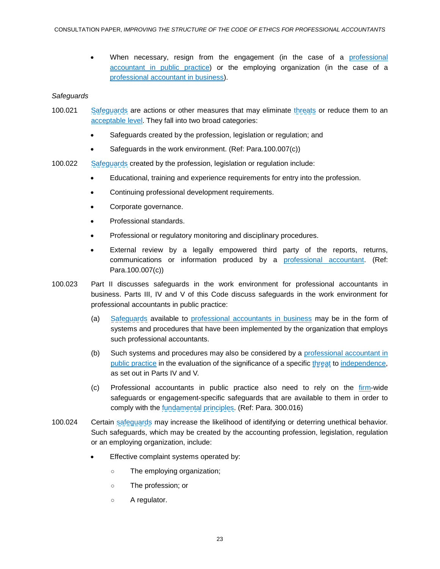• When necessary, resign from the engagement (in the case of a professional accountant in public practice) or the employing organization (in the case of a professional accountant in business).

### *Safeguards*

- 100.021 Safeguards are actions or other measures that may eliminate threats or reduce them to an acceptable level. They fall into two broad categories:
	- Safeguards created by the profession, legislation or regulation; and
	- Safeguards in the work environment. (Ref: Para.100.007(c))
- 100.022 Safeguards created by the profession, legislation or regulation include:
	- Educational, training and experience requirements for entry into the profession.
	- Continuing professional development requirements.
	- Corporate governance.
	- Professional standards.
	- Professional or regulatory monitoring and disciplinary procedures.
	- External review by a legally empowered third party of the reports, returns, communications or information produced by a professional accountant. (Ref: Para.100.007(c))
- 100.023 Part II discusses safeguards in the work environment for professional accountants in business. Parts III, IV and V of this Code discuss safeguards in the work environment for professional accountants in public practice:
	- (a) Safeguards available to professional accountants in business may be in the form of systems and procedures that have been implemented by the organization that employs such professional accountants.
	- (b) Such systems and procedures may also be considered by a professional accountant in public practice in the evaluation of the significance of a specific threat to independence, as set out in Parts IV and V.
	- (c) Professional accountants in public practice also need to rely on the firm-wide safeguards or engagement-specific safeguards that are available to them in order to comply with the fundamental principles. (Ref: Para. 300.016)
- 100.024 Certain safeguards may increase the likelihood of identifying or deterring unethical behavior. Such safeguards, which may be created by the accounting profession, legislation, regulation or an employing organization, include:
	- Effective complaint systems operated by:
		- The employing organization;
		- The profession; or
		- A regulator.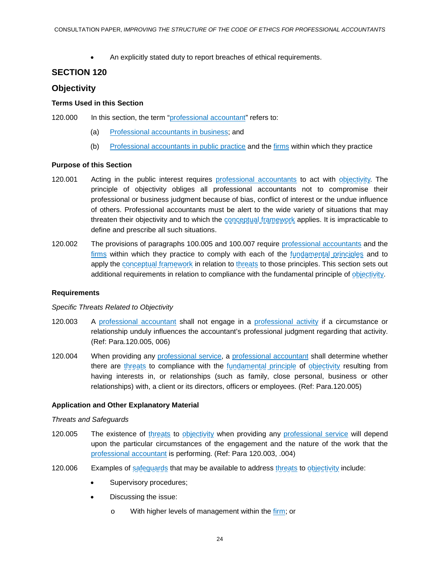• An explicitly stated duty to report breaches of ethical requirements.

# **SECTION 120**

# **Objectivity**

## **Terms Used in this Section**

- 120.000 In this section, the term "professional accountant" refers to:
	- (a) Professional accountants in business; and
	- (b) Professional accountants in public practice and the firms within which they practice

### **Purpose of this Section**

- 120.001 Acting in the public interest requires professional accountants to act with objectivity. The principle of objectivity obliges all professional accountants not to compromise their professional or business judgment because of bias, conflict of interest or the undue influence of others. Professional accountants must be alert to the wide variety of situations that may threaten their objectivity and to which the conceptual framework applies. It is impracticable to define and prescribe all such situations.
- 120.002 The provisions of paragraphs 100.005 and 100.007 require professional accountants and the firms within which they practice to comply with each of the fundamental principles and to apply the conceptual framework in relation to threats to those principles. This section sets out additional requirements in relation to compliance with the fundamental principle of objectivity.

### **Requirements**

### *Specific Threats Related to Objectivity*

- 120.003 A professional accountant shall not engage in a professional activity if a circumstance or relationship unduly influences the accountant's professional judgment regarding that activity. (Ref: Para.120.005, 006)
- 120.004 When providing any professional service, a professional accountant shall determine whether there are threats to compliance with the <u>fundamental principle</u> of objectivity resulting from having interests in, or relationships (such as family, close personal, business or other relationships) with, a client or its directors, officers or employees. (Ref: Para.120.005)

### **Application and Other Explanatory Material**

### *Threats and Safeguards*

- 120.005 The existence of threats to objectivity when providing any professional service will depend upon the particular circumstances of the engagement and the nature of the work that the professional accountant is performing. (Ref: Para 120.003, .004)
- 120.006 Examples of safeguards that may be available to address threats to objectivity include:
	- Supervisory procedures;
	- Discussing the issue:
		- o With higher levels of management within the firm; or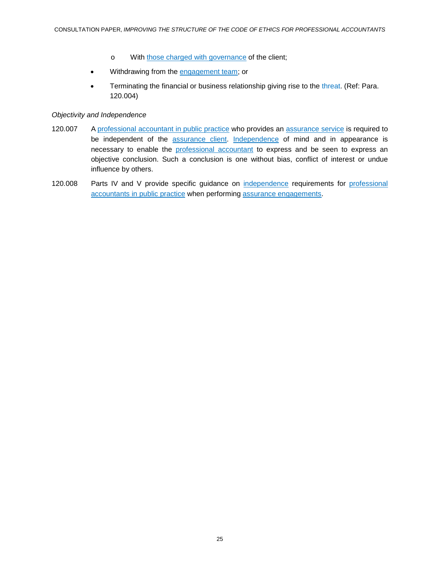- o With those charged with governance of the client;
- Withdrawing from the engagement team; or
- Terminating the financial or business relationship giving rise to the threat. (Ref: Para. 120.004)

### *Objectivity and Independence*

- 120.007 A professional accountant in public practice who provides an assurance service is required to be independent of the assurance client. Independence of mind and in appearance is necessary to enable the professional accountant to express and be seen to express an objective conclusion. Such a conclusion is one without bias, conflict of interest or undue influence by others.
- 120.008 Parts IV and V provide specific guidance on independence requirements for professional accountants in public practice when performing assurance engagements.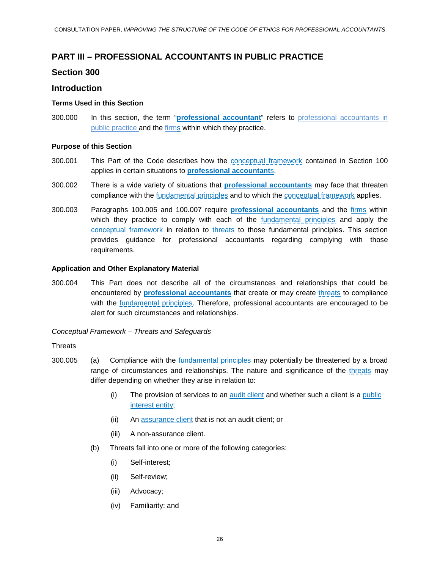# **PART III – PROFESSIONAL ACCOUNTANTS IN PUBLIC PRACTICE**

# **Section 300**

# **Introduction**

## **Terms Used in this Section**

300.000 In this section, the term "**professional accountant**" refers to professional accountants in public practice and the firms within which they practice.

## **Purpose of this Section**

- 300.001 This Part of the Code describes how the conceptual framework contained in Section 100 applies in certain situations to **professional accountant**s.
- 300.002 There is a wide variety of situations that **professional accountants** may face that threaten compliance with the fundamental principles and to which the conceptual framework applies.
- 300.003 Paragraphs 100.005 and 100.007 require **professional accountants** and the firms within which they practice to comply with each of the <u>fundamental principles</u> and apply the conceptual framework in relation to threats to those fundamental principles. This section provides guidance for professional accountants regarding complying with those requirements.

## **Application and Other Explanatory Material**

300.004 This Part does not describe all of the circumstances and relationships that could be encountered by **professional accountants** that create or may create threats to compliance with the fundamental principles. Therefore, professional accountants are encouraged to be alert for such circumstances and relationships.

*Conceptual Framework – Threats and Safeguards*

**Threats** 

- 300.005 (a) Compliance with the fundamental principles may potentially be threatened by a broad range of circumstances and relationships. The nature and significance of the threats may differ depending on whether they arise in relation to:
	- (i) The provision of services to an  $\frac{1}{2}$  and whether such a client is a  $\frac{1}{2}$  public interest entity;
	- (ii) An assurance client that is not an audit client; or
	- (iii) A non-assurance client.
	- (b) Threats fall into one or more of the following categories:
		- (i) Self-interest;
		- (ii) Self-review;
		- (iii) Advocacy;
		- (iv) Familiarity; and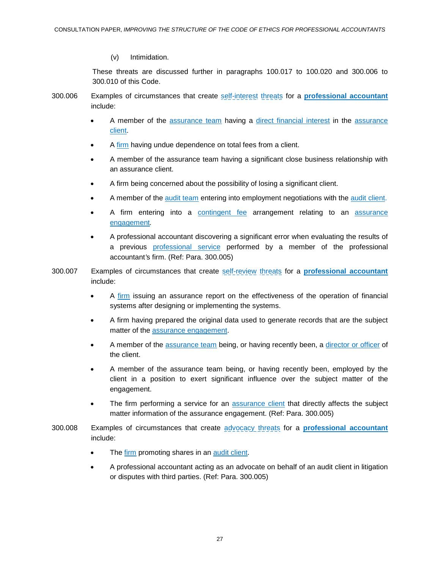(v) Intimidation.

These threats are discussed further in paragraphs 100.017 to 100.020 and 300.006 to 300.010 of this Code.

- 300.006 Examples of circumstances that create self-interest threats for a **professional accountant** include:
	- A member of the assurance team having a direct financial interest in the assurance client.
	- A firm having undue dependence on total fees from a client.
	- A member of the assurance team having a significant close business relationship with an assurance client.
	- A firm being concerned about the possibility of losing a significant client.
	- A member of the audit team entering into employment negotiations with the audit client.
	- A firm entering into a **contingent fee** arrangement relating to an assurance engagement*.*
	- A professional accountant discovering a significant error when evaluating the results of a previous professional service performed by a member of the professional accountant*'*s firm. (Ref: Para. 300.005)
- 300.007 Examples of circumstances that create self-review threats for a **professional accountant** include:
	- A firm issuing an assurance report on the effectiveness of the operation of financial systems after designing or implementing the systems.
	- A firm having prepared the original data used to generate records that are the subject matter of the assurance engagement.
	- A member of the assurance team being, or having recently been, a director or officer of the client.
	- A member of the assurance team being, or having recently been, employed by the client in a position to exert significant influence over the subject matter of the engagement.
	- The firm performing a service for an assurance client that directly affects the subject matter information of the assurance engagement. (Ref: Para. 300.005)
- 300.008 Examples of circumstances that create advocacy threats for a **professional accountant** include:
	- The firm promoting shares in an audit client.
	- A professional accountant acting as an advocate on behalf of an audit client in litigation or disputes with third parties. (Ref: Para. 300.005)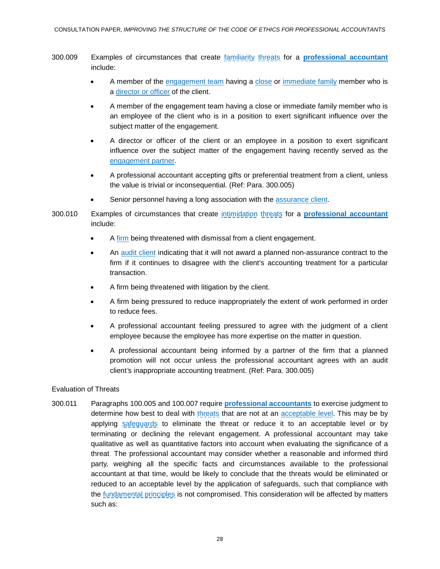- 300.009 Examples of circumstances that create familiarity threats for a **professional accountant** include:
	- A member of the engagement team having a close or immediate family member who is a director or officer of the client.
	- A member of the engagement team having a close or immediate family member who is an employee of the client who is in a position to exert significant influence over the subject matter of the engagement.
	- A director or officer of the client or an employee in a position to exert significant influence over the subject matter of the engagement having recently served as the engagement partner.
	- A professional accountant accepting gifts or preferential treatment from a client, unless the value is trivial or inconsequential. (Ref: Para. 300.005)
	- Senior personnel having a long association with the assurance client.
- 300.010 Examples of circumstances that create intimidation threats for a **professional accountant** include:
	- A firm being threatened with dismissal from a client engagement.
	- An audit client indicating that it will not award a planned non-assurance contract to the firm if it continues to disagree with the client's accounting treatment for a particular transaction.
	- A firm being threatened with litigation by the client.
	- A firm being pressured to reduce inappropriately the extent of work performed in order to reduce fees.
	- A professional accountant feeling pressured to agree with the judgment of a client employee because the employee has more expertise on the matter in question.
	- A professional accountant being informed by a partner of the firm that a planned promotion will not occur unless the professional accountant agrees with an audit client*'*s inappropriate accounting treatment. (Ref: Para. 300.005)

### Evaluation of Threats

300.011 Paragraphs 100.005 and 100.007 require **professional accountants** to exercise judgment to determine how best to deal with threats that are not at an acceptable level. This may be by applying safeguards to eliminate the threat or reduce it to an acceptable level or by terminating or declining the relevant engagement. A professional accountant may take qualitative as well as quantitative factors into account when evaluating the significance of a threat. The professional accountant may consider whether a reasonable and informed third party, weighing all the specific facts and circumstances available to the professional accountant at that time, would be likely to conclude that the threats would be eliminated or reduced to an acceptable level by the application of safeguards, such that compliance with the **fundamental principles** is not compromised. This consideration will be affected by matters such as: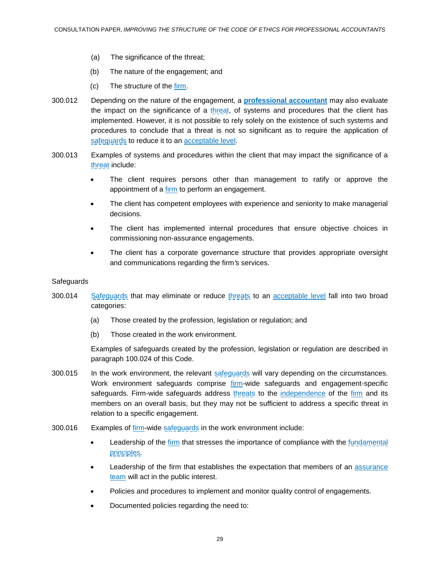- (a) The significance of the threat;
- (b) The nature of the engagement; and
- (c) The structure of the firm.
- 300.012 Depending on the nature of the engagement, a **professional accountant** may also evaluate the impact on the significance of a threat, of systems and procedures that the client has implemented. However, it is not possible to rely solely on the existence of such systems and procedures to conclude that a threat is not so significant as to require the application of safeguards to reduce it to an acceptable level.
- 300.013 Examples of systems and procedures within the client that may impact the significance of a threat include:
	- The client requires persons other than management to ratify or approve the appointment of a firm to perform an engagement.
	- The client has competent employees with experience and seniority to make managerial decisions.
	- The client has implemented internal procedures that ensure objective choices in commissioning non-assurance engagements.
	- The client has a corporate governance structure that provides appropriate oversight and communications regarding the firm*'*s services.

#### **Safeguards**

- 300.014 Safeguards that may eliminate or reduce threats to an acceptable level fall into two broad categories:
	- (a) Those created by the profession, legislation or regulation; and
	- (b) Those created in the work environment.

Examples of safeguards created by the profession, legislation or regulation are described in paragraph 100.024 of this Code.

- 300.015 In the work environment, the relevant safeguards will vary depending on the circumstances. Work environment safeguards comprise *firm*-wide safeguards and engagement-specific safeguards. Firm-wide safeguards address threats to the independence of the firm and its members on an overall basis, but they may not be sufficient to address a specific threat in relation to a specific engagement.
- 300.016 Examples of firm-wide safeguards in the work environment include:
	- Leadership of the firm that stresses the importance of compliance with the fundamental principles.
	- Leadership of the firm that establishes the expectation that members of an assurance team will act in the public interest.
	- Policies and procedures to implement and monitor quality control of engagements.
	- Documented policies regarding the need to: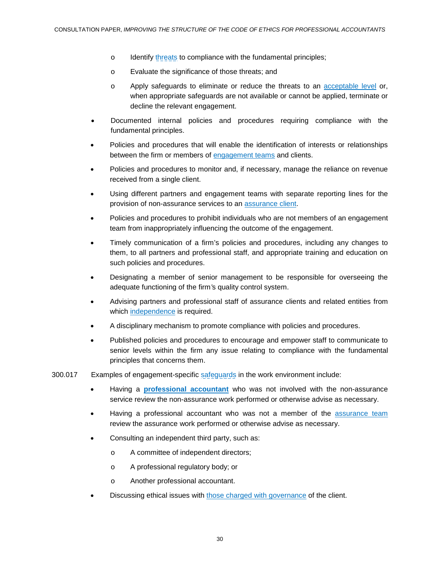- o Identify threats to compliance with the fundamental principles;
- o Evaluate the significance of those threats; and
- o Apply safeguards to eliminate or reduce the threats to an acceptable level or, when appropriate safeguards are not available or cannot be applied, terminate or decline the relevant engagement.
- Documented internal policies and procedures requiring compliance with the fundamental principles.
- Policies and procedures that will enable the identification of interests or relationships between the firm or members of engagement teams and clients.
- Policies and procedures to monitor and, if necessary, manage the reliance on revenue received from a single client.
- Using different partners and engagement teams with separate reporting lines for the provision of non-assurance services to an assurance client.
- Policies and procedures to prohibit individuals who are not members of an engagement team from inappropriately influencing the outcome of the engagement.
- Timely communication of a firm's policies and procedures, including any changes to them, to all partners and professional staff, and appropriate training and education on such policies and procedures.
- Designating a member of senior management to be responsible for overseeing the adequate functioning of the firm*'*s quality control system.
- Advising partners and professional staff of assurance clients and related entities from which independence is required.
- A disciplinary mechanism to promote compliance with policies and procedures.
- Published policies and procedures to encourage and empower staff to communicate to senior levels within the firm any issue relating to compliance with the fundamental principles that concerns them.
- 300.017 Examples of engagement-specific safeguards in the work environment include:
	- Having a **professional accountant** who was not involved with the non-assurance service review the non-assurance work performed or otherwise advise as necessary.
	- Having a professional accountant who was not a member of the assurance team review the assurance work performed or otherwise advise as necessary.
	- Consulting an independent third party, such as:
		- o A committee of independent directors;
		- o A professional regulatory body; or
		- o Another professional accountant.
	- Discussing ethical issues with those charged with governance of the client.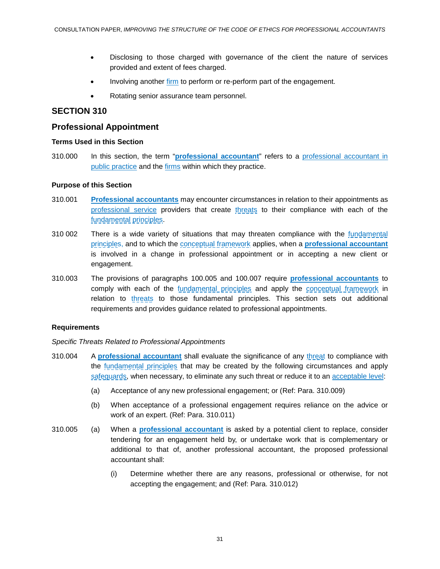- Disclosing to those charged with governance of the client the nature of services provided and extent of fees charged.
- Involving another firm to perform or re-perform part of the engagement.
- Rotating senior assurance team personnel.

# **SECTION 310**

## **Professional Appointment**

### **Terms Used in this Section**

310.000 In this section, the term "**professional accountant**" refers to a professional accountant in public practice and the firms within which they practice.

### **Purpose of this Section**

- 310.001 **Professional accountants** may encounter circumstances in relation to their appointments as professional service providers that create threats to their compliance with each of the fundamental principles.
- 310 002 There is a wide variety of situations that may threaten compliance with the fundamental principles, and to which the conceptual framework applies, when a **professional accountant** is involved in a change in professional appointment or in accepting a new client or engagement.
- 310.003 The provisions of paragraphs 100.005 and 100.007 require **professional accountants** to comply with each of the fundamental principles and apply the conceptual framework in relation to threats to those fundamental principles. This section sets out additional requirements and provides guidance related to professional appointments.

### **Requirements**

### *Specific Threats Related to Professional Appointments*

- 310.004 A **professional accountant** shall evaluate the significance of any threat to compliance with the <u>fundamental principles</u> that may be created by the following circumstances and apply safeguards, when necessary, to eliminate any such threat or reduce it to an acceptable level:
	- (a) Acceptance of any new professional engagement; or (Ref: Para. 310.009)
	- (b) When acceptance of a professional engagement requires reliance on the advice or work of an expert. (Ref: Para. 310.011)
- 310.005 (a) When a **professional accountant** is asked by a potential client to replace, consider tendering for an engagement held by, or undertake work that is complementary or additional to that of, another professional accountant, the proposed professional accountant shall:
	- (i) Determine whether there are any reasons, professional or otherwise, for not accepting the engagement; and (Ref: Para. 310.012)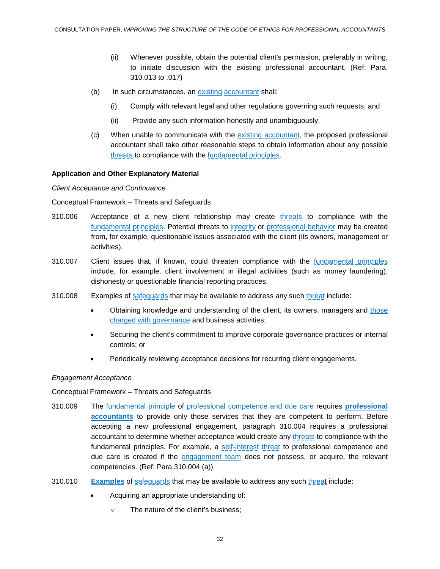- (ii) Whenever possible, obtain the potential client's permission, preferably in writing, to initiate discussion with the existing professional accountant. (Ref: Para. 310.013 to .017)
- (b) In such circumstances, an existing accountant shall:
	- (i) Comply with relevant legal and other regulations governing such requests; and
	- (ii) Provide any such information honestly and unambiguously.
- (c) When unable to communicate with the existing accountant, the proposed professional accountant shall take other reasonable steps to obtain information about any possible threats to compliance with the fundamental principles.

### **Application and Other Explanatory Material**

*Client Acceptance and Continuance*

Conceptual Framework – Threats and Safeguards

- 310.006 Acceptance of a new client relationship may create threats to compliance with the fundamental principles. Potential threats to integrity or professional behavior may be created from, for example, questionable issues associated with the client (its owners, management or activities).
- 310.007 Client issues that, if known, could threaten compliance with the fundamental principles include, for example, client involvement in illegal activities (such as money laundering), dishonesty or questionable financial reporting practices.
- 310.008 Examples of safeguards that may be available to address any such threat include:
	- Obtaining knowledge and understanding of the client, its owners, managers and those charged with governance and business activities;
	- Securing the client's commitment to improve corporate governance practices or internal controls; or
	- Periodically reviewing acceptance decisions for recurring client engagements.

### *Engagement Acceptance*

Conceptual Framework – Threats and Safeguards

- 310.009 The fundamental principle of professional competence and due care requires **professional accountants** to provide only those services that they are competent to perform. Before accepting a new professional engagement, paragraph 310.004 requires a professional accountant to determine whether acceptance would create any threats to compliance with the fundamental principles. For example, a self-interest threat to professional competence and due care is created if the engagement team does not possess, or acquire, the relevant competencies. (Ref: Para.310.004 (a))
- 310.010 **Examples** of safeguards that may be available to address any such threat include:
	- Acquiring an appropriate understanding of:
		- The nature of the client's business;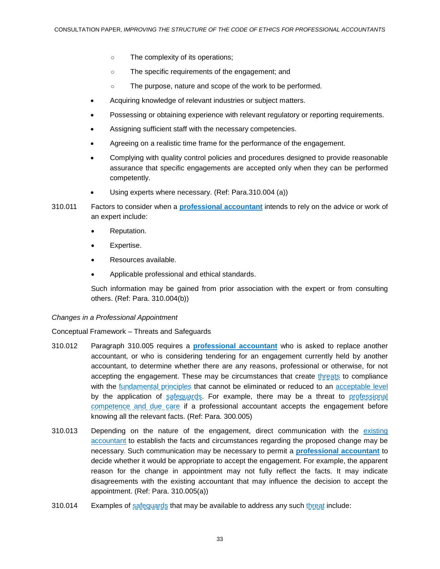- The complexity of its operations;
- The specific requirements of the engagement; and
- The purpose, nature and scope of the work to be performed.
- Acquiring knowledge of relevant industries or subject matters.
- Possessing or obtaining experience with relevant regulatory or reporting requirements.
- Assigning sufficient staff with the necessary competencies.
- Agreeing on a realistic time frame for the performance of the engagement.
- Complying with quality control policies and procedures designed to provide reasonable assurance that specific engagements are accepted only when they can be performed competently.
- Using experts where necessary. (Ref: Para.310.004 (a))
- 310.011 Factors to consider when a **professional accountant** intends to rely on the advice or work of an expert include:
	- Reputation.
	- Expertise.
	- Resources available.
	- Applicable professional and ethical standards.

Such information may be gained from prior association with the expert or from consulting others. (Ref: Para. 310.004(b))

## *Changes in a Professional Appointment*

## Conceptual Framework – Threats and Safeguards

- 310.012 Paragraph 310.005 requires a **professional accountant** who is asked to replace another accountant, or who is considering tendering for an engagement currently held by another accountant, to determine whether there are any reasons, professional or otherwise, for not accepting the engagement. These may be circumstances that create threats to compliance with the fundamental principles that cannot be eliminated or reduced to an acceptable level by the application of safeguards. For example, there may be a threat to professional competence and due care if a professional accountant accepts the engagement before knowing all the relevant facts. (Ref: Para. 300.005)
- 310.013 Depending on the nature of the engagement, direct communication with the existing accountant to establish the facts and circumstances regarding the proposed change may be necessary. Such communication may be necessary to permit a **professional accountant** to decide whether it would be appropriate to accept the engagement. For example, the apparent reason for the change in appointment may not fully reflect the facts. It may indicate disagreements with the existing accountant that may influence the decision to accept the appointment. (Ref: Para. 310.005(a))
- 310.014 Examples of safeguards that may be available to address any such threat include: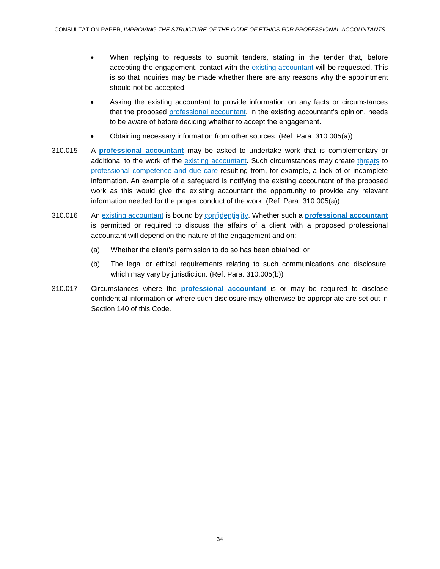- When replying to requests to submit tenders, stating in the tender that, before accepting the engagement, contact with the existing accountant will be requested. This is so that inquiries may be made whether there are any reasons why the appointment should not be accepted.
- Asking the existing accountant to provide information on any facts or circumstances that the proposed professional accountant, in the existing accountant's opinion, needs to be aware of before deciding whether to accept the engagement.
- Obtaining necessary information from other sources. (Ref: Para. 310.005(a))
- 310.015 A **professional accountant** may be asked to undertake work that is complementary or additional to the work of the existing accountant. Such circumstances may create threats to professional competence and due care resulting from, for example, a lack of or incomplete information. An example of a safeguard is notifying the existing accountant of the proposed work as this would give the existing accountant the opportunity to provide any relevant information needed for the proper conduct of the work. (Ref: Para. 310.005(a))
- 310.016 An existing accountant is bound by confidentiality. Whether such a **professional accountant** is permitted or required to discuss the affairs of a client with a proposed professional accountant will depend on the nature of the engagement and on:
	- (a) Whether the client's permission to do so has been obtained; or
	- (b) The legal or ethical requirements relating to such communications and disclosure, which may vary by jurisdiction. (Ref: Para. 310.005(b))
- 310.017 Circumstances where the **professional accountant** is or may be required to disclose confidential information or where such disclosure may otherwise be appropriate are set out in Section 140 of this Code.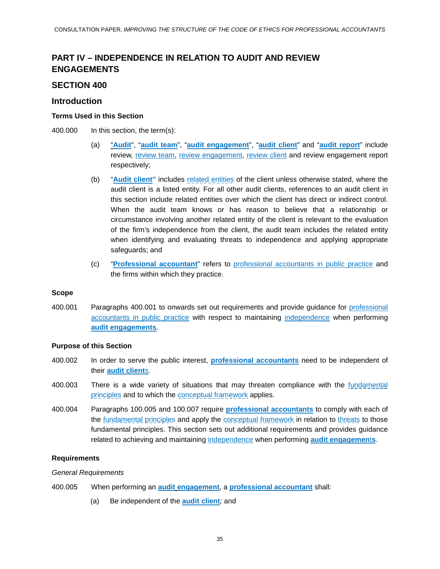# **PART IV – INDEPENDENCE IN RELATION TO AUDIT AND REVIEW ENGAGEMENTS**

# **SECTION 400**

# **Introduction**

### **Terms Used in this Section**

400.000 In this section, the term(s):

- (a) "**Audit**", "**audit team**", "**audit engagement**", "**audit client**" and "**audit report**" include review, review team, review engagement, review client and review engagement report respectively;
- (b) "**Audit client"** includes related entities of the client unless otherwise stated, where the audit client is a listed entity. For all other audit clients, references to an audit client in this section include related entities over which the client has direct or indirect control. When the audit team knows or has reason to believe that a relationship or circumstance involving another related entity of the client is relevant to the evaluation of the firm's independence from the client, the audit team includes the related entity when identifying and evaluating threats to independence and applying appropriate safeguards; and
- (c) "**Professional accountant**" refers to professional accountants in public practice and the firms within which they practice.

### **Scope**

400.001 Paragraphs 400.001 to onwards set out requirements and provide guidance for professional accountants in public practice with respect to maintaining independence when performing **audit engagements**.

### **Purpose of this Section**

- 400.002 In order to serve the public interest, **professional accountants** need to be independent of their **audit client**s.
- 400.003 There is a wide variety of situations that may threaten compliance with the fundamental principles and to which the conceptual framework applies.
- 400.004 Paragraphs 100.005 and 100.007 require **professional accountants** to comply with each of the fundamental principles and apply the conceptual framework in relation to threats to those fundamental principles. This section sets out additional requirements and provides guidance related to achieving and maintaining independence when performing **audit engagemen**t**s**.

### **Requirements**

### *General Requirements*

- 400.005 When performing an **audit engagement**, a **professional accountant** shall:
	- (a) Be independent of the **audit client***;* and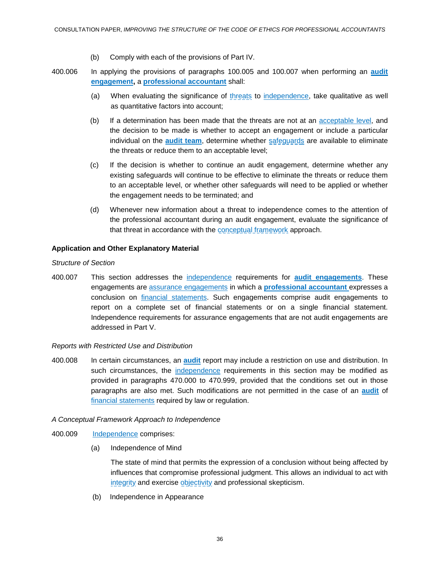- (b) Comply with each of the provisions of Part IV.
- 400.006 In applying the provisions of paragraphs 100.005 and 100.007 when performing an **audit engagement,** a **professional accountant** shall:
	- (a) When evaluating the significance of threats to independence, take qualitative as well as quantitative factors into account;
	- (b) If a determination has been made that the threats are not at an acceptable level, and the decision to be made is whether to accept an engagement or include a particular individual on the **audit team**, determine whether safeguards are available to eliminate the threats or reduce them to an acceptable level;
	- (c) If the decision is whether to continue an audit engagement, determine whether any existing safeguards will continue to be effective to eliminate the threats or reduce them to an acceptable level, or whether other safeguards will need to be applied or whether the engagement needs to be terminated; and
	- (d) Whenever new information about a threat to independence comes to the attention of the professional accountant during an audit engagement, evaluate the significance of that threat in accordance with the conceptual framework approach.

### **Application and Other Explanatory Material**

### *Structure of Section*

400.007 This section addresses the independence requirements for **audit engagements**. These engagements are assurance engagements in which a **professional accountant** expresses a conclusion on financial statements. Such engagements comprise audit engagements to report on a complete set of financial statements or on a single financial statement. Independence requirements for assurance engagements that are not audit engagements are addressed in Part V.

### *Reports with Restricted Use and Distribution*

400.008 In certain circumstances, an **audit** report may include a restriction on use and distribution. In such circumstances, the independence requirements in this section may be modified as provided in paragraphs 470.000 to 470.999, provided that the conditions set out in those paragraphs are also met. Such modifications are not permitted in the case of an **audit** of financial statements required by law or regulation.

### *A Conceptual Framework Approach to Independence*

### 400.009 Independence comprises:

(a) Independence of Mind

The state of mind that permits the expression of a conclusion without being affected by influences that compromise professional judgment. This allows an individual to act with integrity and exercise objectivity and professional skepticism.

(b) Independence in Appearance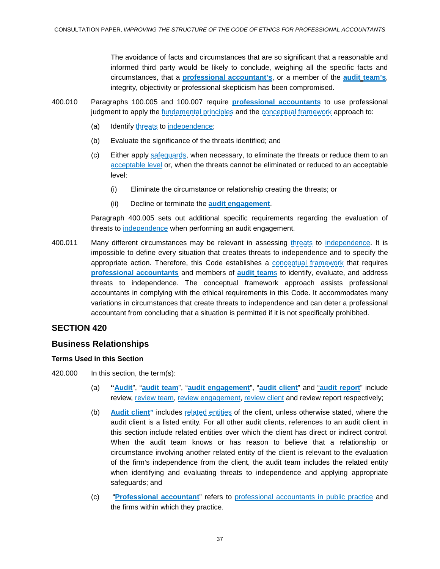The avoidance of facts and circumstances that are so significant that a reasonable and informed third party would be likely to conclude, weighing all the specific facts and circumstances, that a **professional accountant's**, or a member of the **audit team's**, integrity, objectivity or professional skepticism has been compromised.

- 400.010 Paragraphs 100.005 and 100.007 require **professional accountants** to use professional judgment to apply the fundamental principles and the conceptual framework approach to:
	- (a) Identify threats to independence;
	- (b) Evaluate the significance of the threats identified; and
	- (c) Either apply safeguards, when necessary, to eliminate the threats or reduce them to an acceptable level or, when the threats cannot be eliminated or reduced to an acceptable level:
		- (i) Eliminate the circumstance or relationship creating the threats; or
		- (ii) Decline or terminate the **audit engagement**.

Paragraph 400.005 sets out additional specific requirements regarding the evaluation of threats to independence when performing an audit engagement.

400.011 Many different circumstances may be relevant in assessing threats to independence. It is impossible to define every situation that creates threats to independence and to specify the appropriate action. Therefore, this Code establishes a conceptual framework that requires **professional accountants** and members of **audit team**s to identify, evaluate, and address threats to independence. The conceptual framework approach assists professional accountants in complying with the ethical requirements in this Code. It accommodates many variations in circumstances that create threats to independence and can deter a professional accountant from concluding that a situation is permitted if it is not specifically prohibited.

# **SECTION 420**

## **Business Relationships**

### **Terms Used in this Section**

- 420.000 In this section, the term(s):
	- (a) **"Audit**", "**audit team**", "**audit engagement**", "**audit client**" and "**audit report**" include review, review team, review engagement, review client and review report respectively;
	- (b) **Audit client"** includes related entities of the client, unless otherwise stated, where the audit client is a listed entity. For all other audit clients, references to an audit client in this section include related entities over which the client has direct or indirect control. When the audit team knows or has reason to believe that a relationship or circumstance involving another related entity of the client is relevant to the evaluation of the firm's independence from the client, the audit team includes the related entity when identifying and evaluating threats to independence and applying appropriate safeguards; and
	- (c) "**Professional accountant**" refers to professional accountants in public practice and the firms within which they practice.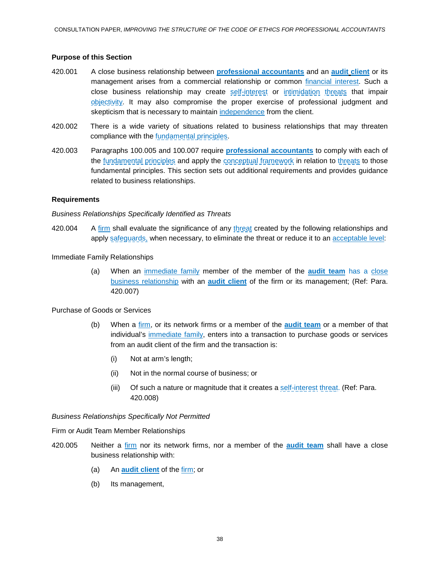### **Purpose of this Section**

- 420.001 A close business relationship between **professional accountants** and an **audit client** or its management arises from a commercial relationship or common financial interest. Such a close business relationship may create self-interest or intimidation threats that impair objectivity. It may also compromise the proper exercise of professional judgment and skepticism that is necessary to maintain independence from the client.
- 420.002 There is a wide variety of situations related to business relationships that may threaten compliance with the fundamental principles.
- 420.003 Paragraphs 100.005 and 100.007 require **professional accountants** to comply with each of the fundamental principles and apply the conceptual framework in relation to threats to those fundamental principles. This section sets out additional requirements and provides guidance related to business relationships.

### **Requirements**

### *Business Relationships Specifically Identified as Threats*

420.004 A firm shall evaluate the significance of any threat created by the following relationships and apply safeguards, when necessary, to eliminate the threat or reduce it to an acceptable level:

Immediate Family Relationships

(a) When an immediate family member of the member of the **audit team** has a close business relationship with an **audit client** of the firm or its management; (Ref: Para. 420.007)

Purchase of Goods or Services

- (b) When a firm, or its network firms or a member of the **audit team** or a member of that individual's immediate family, enters into a transaction to purchase goods or services from an audit client of the firm and the transaction is:
	- (i) Not at arm's length;
	- (ii) Not in the normal course of business; or
	- (iii) Of such a nature or magnitude that it creates a self-interest threat. (Ref: Para. 420.008)

### *Business Relationships Speci*f*ically Not Permitted*

Firm or Audit Team Member Relationships

- 420.005 Neither a firm nor its network firms, nor a member of the **audit team** shall have a close business relationship with:
	- (a) An **audit client** of the firm; or
	- (b) Its management,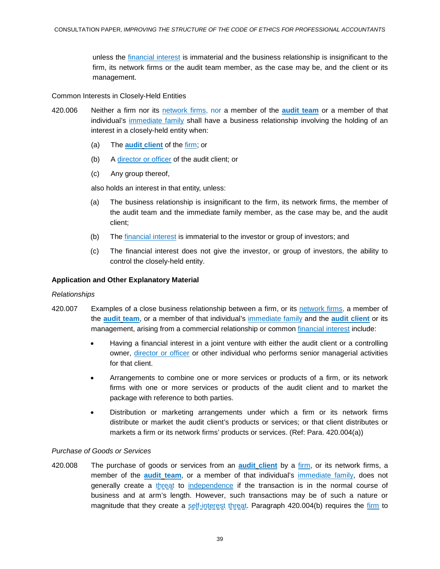unless the financial interest is immaterial and the business relationship is insignificant to the firm, its network firms or the audit team member, as the case may be, and the client or its management.

#### Common Interests in Closely-Held Entities

- 420.006 Neither a firm nor its network firms, nor a member of the **audit team** or a member of that individual's immediate family shall have a business relationship involving the holding of an interest in a closely-held entity when:
	- (a) The **audit client** of the firm; or
	- (b) A director or officer of the audit client; or
	- (c) Any group thereof,

also holds an interest in that entity, unless:

- (a) The business relationship is insignificant to the firm, its network firms, the member of the audit team and the immediate family member, as the case may be, and the audit client;
- (b) The financial interest is immaterial to the investor or group of investors; and
- (c) The financial interest does not give the investor, or group of investors, the ability to control the closely-held entity.

### **Application and Other Explanatory Material**

### *Relationships*

- 420.007 Examples of a close business relationship between a firm, or its network firms, a member of the **audit team**, or a member of that individual's immediate family and the **audit client** or its management, arising from a commercial relationship or common financial interest include:
	- Having a financial interest in a joint venture with either the audit client or a controlling owner, director or officer or other individual who performs senior managerial activities for that client.
	- Arrangements to combine one or more services or products of a firm, or its network firms with one or more services or products of the audit client and to market the package with reference to both parties.
	- Distribution or marketing arrangements under which a firm or its network firms distribute or market the audit client's products or services; or that client distributes or markets a firm or its network firms' products or services. (Ref: Para. 420.004(a))

### *Purchase of Goods or Services*

420.008 The purchase of goods or services from an **audit client** by a firm, or its network firms, a member of the **audit team**, or a member of that individual's immediate family, does not generally create a threat to independence if the transaction is in the normal course of business and at arm's length. However, such transactions may be of such a nature or magnitude that they create a self-interest threat. Paragraph 420.004(b) requires the firm to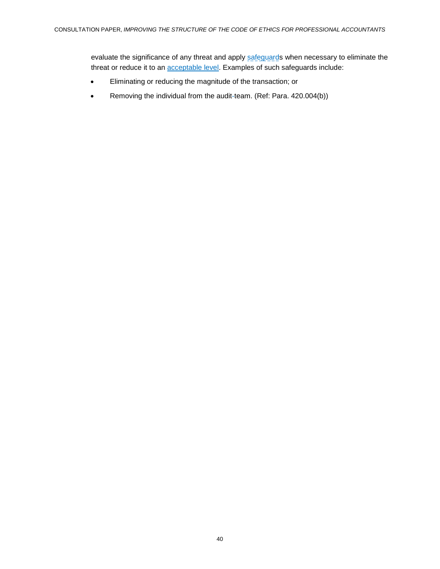evaluate the significance of any threat and apply safeguards when necessary to eliminate the threat or reduce it to an **acceptable level**. Examples of such safeguards include:

- Eliminating or reducing the magnitude of the transaction; or
- Removing the individual from the audit-team. (Ref: Para. 420.004(b))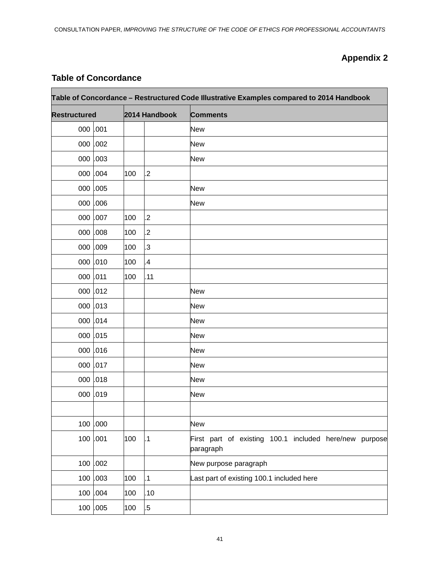# **Appendix 2**

# **Table of Concordance**

 $\overline{\phantom{0}}$ 

| Table of Concordance - Restructured Code Illustrative Examples compared to 2014 Handbook |          |     |                 |                                                                     |
|------------------------------------------------------------------------------------------|----------|-----|-----------------|---------------------------------------------------------------------|
| 2014 Handbook<br><b>Restructured</b>                                                     |          |     | <b>Comments</b> |                                                                     |
|                                                                                          | 000 .001 |     |                 | <b>New</b>                                                          |
|                                                                                          | 000 .002 |     |                 | <b>New</b>                                                          |
|                                                                                          | 000 .003 |     |                 | <b>New</b>                                                          |
|                                                                                          | 000 .004 | 100 | $\overline{2}$  |                                                                     |
|                                                                                          | 000 .005 |     |                 | <b>New</b>                                                          |
|                                                                                          | 000 .006 |     |                 | <b>New</b>                                                          |
|                                                                                          | 000 .007 | 100 | $\overline{2}$  |                                                                     |
|                                                                                          | 000 .008 | 100 | $\overline{2}$  |                                                                     |
|                                                                                          | 000 .009 | 100 | $\overline{3}$  |                                                                     |
|                                                                                          | 000 .010 | 100 | $\overline{A}$  |                                                                     |
|                                                                                          | 000 .011 | 100 | .11             |                                                                     |
|                                                                                          | 000 .012 |     |                 | <b>New</b>                                                          |
|                                                                                          | 000 .013 |     |                 | <b>New</b>                                                          |
|                                                                                          | 000 .014 |     |                 | <b>New</b>                                                          |
|                                                                                          | 000 .015 |     |                 | <b>New</b>                                                          |
|                                                                                          | 000 .016 |     |                 | <b>New</b>                                                          |
|                                                                                          | 000 .017 |     |                 | <b>New</b>                                                          |
|                                                                                          | 000 .018 |     |                 | <b>New</b>                                                          |
|                                                                                          | 000 .019 |     |                 | <b>New</b>                                                          |
|                                                                                          |          |     |                 |                                                                     |
|                                                                                          | 100 .000 |     |                 | <b>New</b>                                                          |
|                                                                                          | 100 .001 | 100 | $\overline{.1}$ | First part of existing 100.1 included here/new purpose<br>paragraph |
|                                                                                          | 100 .002 |     |                 | New purpose paragraph                                               |
|                                                                                          | 100 .003 | 100 | $\overline{.1}$ | Last part of existing 100.1 included here                           |
|                                                                                          | 100 .004 | 100 | 10              |                                                                     |
|                                                                                          | 100 .005 | 100 | $.5\,$          |                                                                     |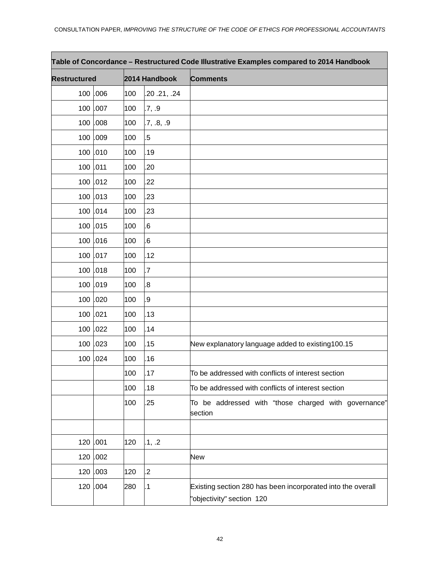| Table of Concordance - Restructured Code Illustrative Examples compared to 2014 Handbook |          |               |                 |                                                                                          |
|------------------------------------------------------------------------------------------|----------|---------------|-----------------|------------------------------------------------------------------------------------------|
| <b>Restructured</b>                                                                      |          | 2014 Handbook | <b>Comments</b> |                                                                                          |
|                                                                                          | 100 .006 | 100           | .20.21, .24     |                                                                                          |
|                                                                                          | 100 .007 | 100           | .7, .9          |                                                                                          |
|                                                                                          | 100 .008 | 100           | .7, .8, .9      |                                                                                          |
|                                                                                          | 100 .009 | 100           | $5\phantom{.0}$ |                                                                                          |
|                                                                                          | 100 .010 | 100           | .19             |                                                                                          |
|                                                                                          | 100 .011 | 100           | .20             |                                                                                          |
|                                                                                          | 100 .012 | 100           | 22              |                                                                                          |
|                                                                                          | 100 .013 | 100           | .23             |                                                                                          |
|                                                                                          | 100 .014 | 100           | .23             |                                                                                          |
|                                                                                          | 100 .015 | 100           | $6 \,$          |                                                                                          |
|                                                                                          | 100 .016 | 100           | $6 \,$          |                                                                                          |
|                                                                                          | 100 .017 | 100           | 12              |                                                                                          |
|                                                                                          | 100 .018 | 100           | $\overline{7}$  |                                                                                          |
|                                                                                          | 100 .019 | 100           | 8.              |                                                                                          |
|                                                                                          | 100 .020 | 100           | 9.              |                                                                                          |
|                                                                                          | 100 .021 | 100           | .13             |                                                                                          |
|                                                                                          | 100 .022 | 100           | .14             |                                                                                          |
|                                                                                          | 100 .023 | 100           | 15              | New explanatory language added to existing100.15                                         |
| 100                                                                                      | .024     | 100           | 16              |                                                                                          |
|                                                                                          |          | 100           | .17             | To be addressed with conflicts of interest section                                       |
|                                                                                          |          | 100           | 18              | To be addressed with conflicts of interest section                                       |
|                                                                                          |          | 100           | 25              | To be addressed with "those charged with governance"<br>section                          |
|                                                                                          |          |               |                 |                                                                                          |
|                                                                                          | 120 .001 | 120           | .1, .2          |                                                                                          |
|                                                                                          | 120 .002 |               |                 | <b>New</b>                                                                               |
|                                                                                          | 120 .003 | 120           | $\overline{2}$  |                                                                                          |
|                                                                                          | 120 .004 | 280           | $\overline{1}$  | Existing section 280 has been incorporated into the overall<br>"objectivity" section 120 |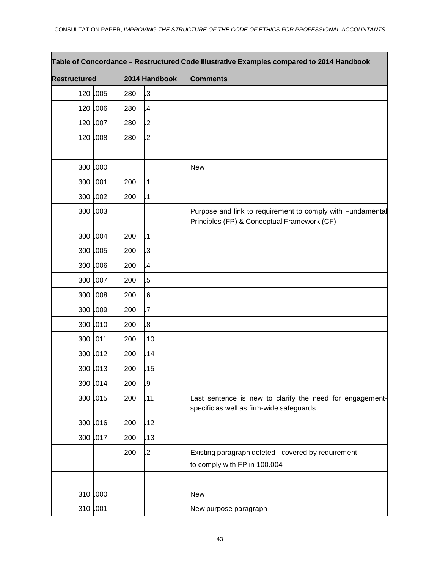| Table of Concordance - Restructured Code Illustrative Examples compared to 2014 Handbook |          |     |                  |                                                                                                           |
|------------------------------------------------------------------------------------------|----------|-----|------------------|-----------------------------------------------------------------------------------------------------------|
| <b>Restructured</b>                                                                      |          |     | 2014 Handbook    | <b>Comments</b>                                                                                           |
|                                                                                          | 120 .005 | 280 | 3.               |                                                                                                           |
|                                                                                          | 120 .006 | 280 | $\overline{A}$   |                                                                                                           |
|                                                                                          | 120 .007 | 280 | $\overline{2}$   |                                                                                                           |
|                                                                                          | 120 .008 | 280 | $\overline{2}$   |                                                                                                           |
|                                                                                          |          |     |                  |                                                                                                           |
|                                                                                          | 300 .000 |     |                  | <b>New</b>                                                                                                |
|                                                                                          | 300 .001 | 200 | $\overline{.1}$  |                                                                                                           |
|                                                                                          | 300 .002 | 200 | $\overline{.1}$  |                                                                                                           |
|                                                                                          | 300 .003 |     |                  | Purpose and link to requirement to comply with Fundamental<br>Principles (FP) & Conceptual Framework (CF) |
|                                                                                          | 300 .004 | 200 | $\cdot$ 1        |                                                                                                           |
|                                                                                          | 300 .005 | 200 | $\overline{3}$   |                                                                                                           |
|                                                                                          | 300 .006 | 200 | $\overline{A}$   |                                                                                                           |
|                                                                                          | 300 .007 | 200 | $\overline{5}$   |                                                                                                           |
|                                                                                          | 300 .008 | 200 | $6 \overline{6}$ |                                                                                                           |
|                                                                                          | 300 .009 | 200 | $\overline{7}$   |                                                                                                           |
|                                                                                          | 300 .010 | 200 | 8.               |                                                                                                           |
| 300 .011                                                                                 |          | 200 | .10              |                                                                                                           |
|                                                                                          | 300 .012 | 200 | 14               |                                                                                                           |
|                                                                                          | 300 .013 | 200 | .15              |                                                                                                           |
|                                                                                          | 300 .014 | 200 | 9.               |                                                                                                           |
|                                                                                          | 300 .015 | 200 | .11              | Last sentence is new to clarify the need for engagement-<br>specific as well as firm-wide safeguards      |
|                                                                                          | 300 .016 | 200 | .12              |                                                                                                           |
|                                                                                          | 300 .017 | 200 | .13              |                                                                                                           |
|                                                                                          |          | 200 | $\overline{c}$   | Existing paragraph deleted - covered by requirement                                                       |
|                                                                                          |          |     |                  | to comply with FP in 100.004                                                                              |
|                                                                                          |          |     |                  |                                                                                                           |
|                                                                                          | 310 .000 |     |                  | <b>New</b>                                                                                                |
|                                                                                          | 310 .001 |     |                  | New purpose paragraph                                                                                     |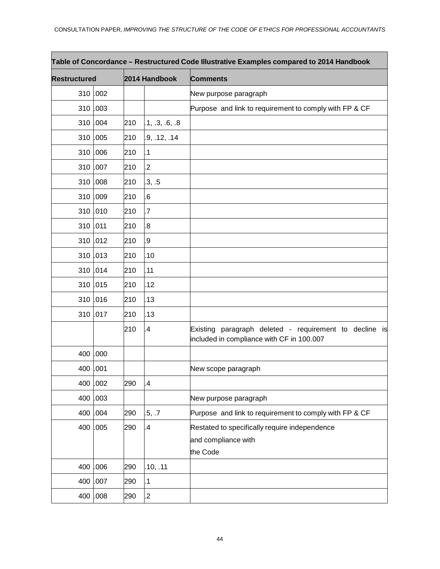| Table of Concordance - Restructured Code Illustrative Examples compared to 2014 Handbook |                     |     |                  |                                                                                                     |
|------------------------------------------------------------------------------------------|---------------------|-----|------------------|-----------------------------------------------------------------------------------------------------|
|                                                                                          | <b>Restructured</b> |     | 2014 Handbook    | <b>Comments</b>                                                                                     |
|                                                                                          | 310 .002            |     |                  | New purpose paragraph                                                                               |
|                                                                                          | 310 .003            |     |                  | Purpose and link to requirement to comply with FP & CF                                              |
|                                                                                          | 310 .004            | 210 | .1, .3, .6, .8   |                                                                                                     |
|                                                                                          | 310 .005            | 210 | .9, .12, .14     |                                                                                                     |
|                                                                                          | 310 .006            | 210 | .1               |                                                                                                     |
|                                                                                          | 310 .007            | 210 | $\overline{2}$   |                                                                                                     |
|                                                                                          | 310 .008            | 210 | 3, .5            |                                                                                                     |
|                                                                                          | 310 .009            | 210 | $6 \overline{6}$ |                                                                                                     |
|                                                                                          | 310 .010            | 210 | $\overline{7}$   |                                                                                                     |
|                                                                                          | 310 .011            | 210 | 8.               |                                                                                                     |
|                                                                                          | 310 .012            | 210 | 9.               |                                                                                                     |
|                                                                                          | 310 .013            | 210 | .10              |                                                                                                     |
|                                                                                          | 310 .014            | 210 | .11              |                                                                                                     |
|                                                                                          | 310 .015            | 210 | 12               |                                                                                                     |
|                                                                                          | 310 .016            | 210 | 13               |                                                                                                     |
|                                                                                          | 310 .017            | 210 | .13              |                                                                                                     |
|                                                                                          |                     | 210 | $\overline{A}$   | Existing paragraph deleted - requirement to decline is<br>included in compliance with CF in 100.007 |
| 400                                                                                      | .000                |     |                  |                                                                                                     |
|                                                                                          | 400 .001            |     |                  | New scope paragraph                                                                                 |
|                                                                                          | 400 .002            | 290 | $\overline{A}$   |                                                                                                     |
|                                                                                          | 400 .003            |     |                  | New purpose paragraph                                                                               |
|                                                                                          | 400 .004            | 290 | .5, .7           | Purpose and link to requirement to comply with FP & CF                                              |
|                                                                                          | 400 .005            | 290 | $\overline{A}$   | Restated to specifically require independence                                                       |
|                                                                                          |                     |     |                  | and compliance with                                                                                 |
|                                                                                          |                     |     |                  | the Code                                                                                            |
|                                                                                          | 400 .006            | 290 | .10, .11         |                                                                                                     |
|                                                                                          | 400 .007            | 290 | $\overline{1}$   |                                                                                                     |
|                                                                                          | 400 .008            | 290 | $\overline{2}$   |                                                                                                     |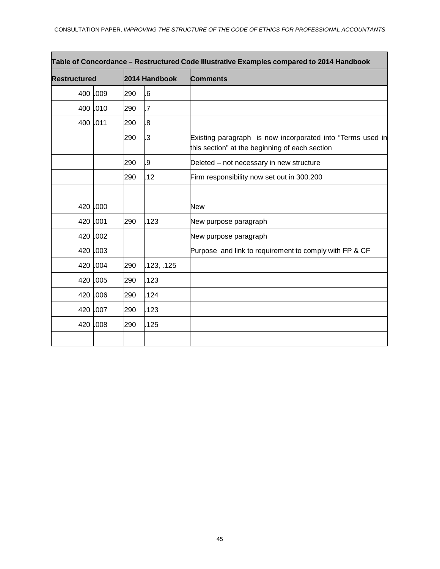|          | Table of Concordance - Restructured Code Illustrative Examples compared to 2014 Handbook |     |                |                                                                                                              |  |  |
|----------|------------------------------------------------------------------------------------------|-----|----------------|--------------------------------------------------------------------------------------------------------------|--|--|
|          | <b>Restructured</b>                                                                      |     | 2014 Handbook  | <b>Comments</b>                                                                                              |  |  |
|          | 400 .009                                                                                 | 290 | $6 \,$         |                                                                                                              |  |  |
|          | 400 .010                                                                                 | 290 | $\overline{7}$ |                                                                                                              |  |  |
| 400 .011 |                                                                                          | 290 | 8.             |                                                                                                              |  |  |
|          |                                                                                          | 290 | $\overline{3}$ | Existing paragraph is now incorporated into "Terms used in<br>this section" at the beginning of each section |  |  |
|          |                                                                                          | 290 | 9.             | Deleted - not necessary in new structure                                                                     |  |  |
|          |                                                                                          | 290 | 12             | Firm responsibility now set out in 300.200                                                                   |  |  |
|          |                                                                                          |     |                |                                                                                                              |  |  |
|          | 420 .000                                                                                 |     |                | <b>New</b>                                                                                                   |  |  |
|          | 420 .001                                                                                 | 290 | 123            | New purpose paragraph                                                                                        |  |  |
|          | 420 .002                                                                                 |     |                | New purpose paragraph                                                                                        |  |  |
|          | 420 .003                                                                                 |     |                | Purpose and link to requirement to comply with FP & CF                                                       |  |  |
|          | 420 .004                                                                                 | 290 | .123, .125     |                                                                                                              |  |  |
|          | 420 .005                                                                                 | 290 | 123            |                                                                                                              |  |  |
|          | 420 .006                                                                                 | 290 | 124            |                                                                                                              |  |  |
|          | 420 .007                                                                                 | 290 | 123            |                                                                                                              |  |  |
|          | 420 .008                                                                                 | 290 | 125            |                                                                                                              |  |  |
|          |                                                                                          |     |                |                                                                                                              |  |  |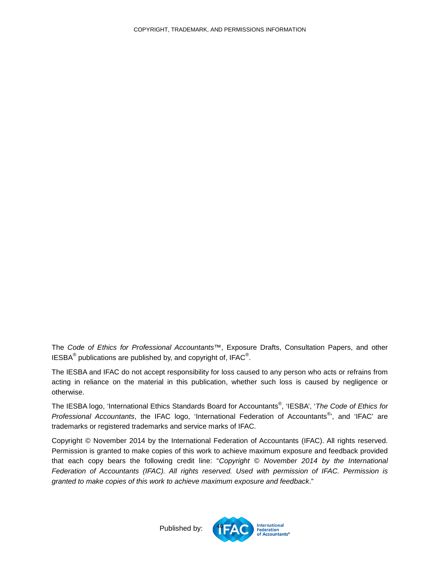<span id="page-45-0"></span>The *Code of Ethics for Professional Accountants™*, Exposure Drafts, Consultation Papers, and other IESBA<sup>®</sup> publications are published by, and copyright of, IFAC<sup>®</sup>.

The IESBA and IFAC do not accept responsibility for loss caused to any person who acts or refrains from acting in reliance on the material in this publication, whether such loss is caused by negligence or otherwise.

The IESBA logo, 'International Ethics Standards Board for Accountants® , 'IESBA', '*The Code of Ethics for Professional Accountants*, the IFAC logo, 'International Federation of Accountants® ', and 'IFAC' are trademarks or registered trademarks and service marks of IFAC.

Copyright © November 2014 by the International Federation of Accountants (IFAC). All rights reserved. Permission is granted to make copies of this work to achieve maximum exposure and feedback provided that each copy bears the following credit line: "*Copyright © November 2014 by the International Federation of Accountants (IFAC). All rights reserved. Used with permission of IFAC. Permission is granted to make copies of this work to achieve maximum exposure and feedback*."